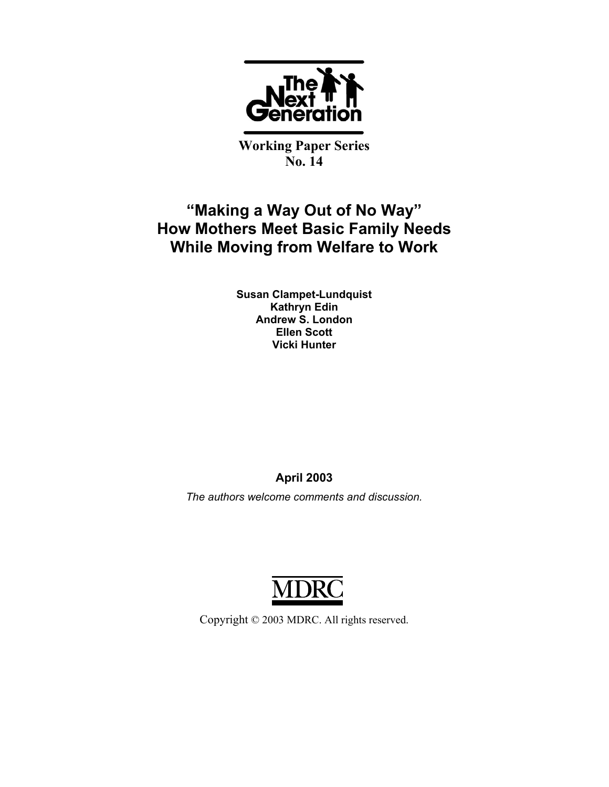

**Working Paper Series No. 14** 

# **"Making a Way Out of No Way" How Mothers Meet Basic Family Needs While Moving from Welfare to Work**

**Susan Clampet-Lundquist Kathryn Edin Andrew S. London Ellen Scott Vicki Hunter**

# **April 2003**

*The authors welcome comments and discussion.*



Copyright © 2003 MDRC. All rights reserved.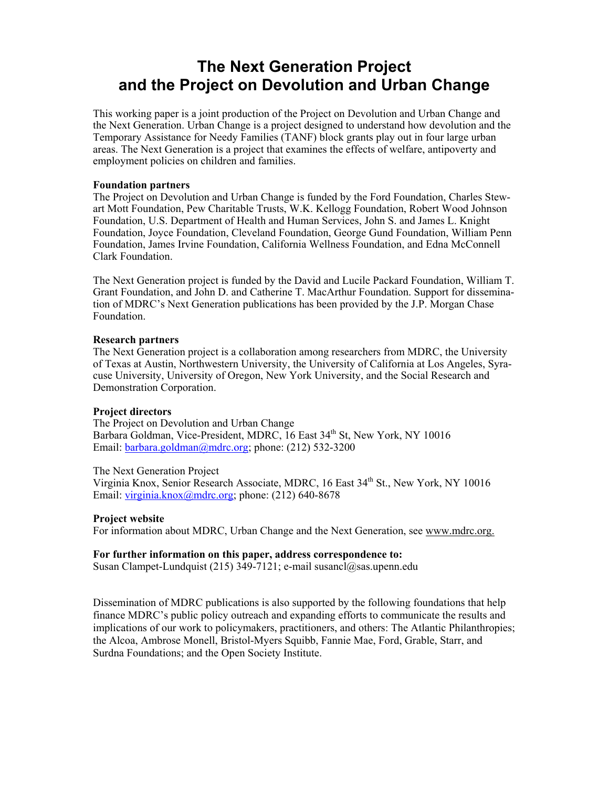# **The Next Generation Project and the Project on Devolution and Urban Change**

This working paper is a joint production of the Project on Devolution and Urban Change and the Next Generation. Urban Change is a project designed to understand how devolution and the Temporary Assistance for Needy Families (TANF) block grants play out in four large urban areas. The Next Generation is a project that examines the effects of welfare, antipoverty and employment policies on children and families.

### **Foundation partners**

The Project on Devolution and Urban Change is funded by the Ford Foundation, Charles Stewart Mott Foundation, Pew Charitable Trusts, W.K. Kellogg Foundation, Robert Wood Johnson Foundation, U.S. Department of Health and Human Services, John S. and James L. Knight Foundation, Joyce Foundation, Cleveland Foundation, George Gund Foundation, William Penn Foundation, James Irvine Foundation, California Wellness Foundation, and Edna McConnell Clark Foundation.

The Next Generation project is funded by the David and Lucile Packard Foundation, William T. Grant Foundation, and John D. and Catherine T. MacArthur Foundation. Support for dissemination of MDRC's Next Generation publications has been provided by the J.P. Morgan Chase Foundation.

### **Research partners**

The Next Generation project is a collaboration among researchers from MDRC, the University of Texas at Austin, Northwestern University, the University of California at Los Angeles, Syracuse University, University of Oregon, New York University, and the Social Research and Demonstration Corporation.

## **Project directors**

The Project on Devolution and Urban Change Barbara Goldman, Vice-President, MDRC, 16 East 34<sup>th</sup> St, New York, NY 10016 Email: barbara.goldman@mdrc.org; phone: (212) 532-3200

The Next Generation Project Virginia Knox, Senior Research Associate, MDRC, 16 East 34th St., New York, NY 10016 Email: virginia.knox $\omega$ mdrc.org; phone: (212) 640-8678

## **Project website**

For information about MDRC, Urban Change and the Next Generation, see www.mdrc.org.

#### **For further information on this paper, address correspondence to:**

Susan Clampet-Lundquist  $(215)$  349-7121; e-mail susancl $@$ sas.upenn.edu

Dissemination of MDRC publications is also supported by the following foundations that help finance MDRC's public policy outreach and expanding efforts to communicate the results and implications of our work to policymakers, practitioners, and others: The Atlantic Philanthropies; the Alcoa, Ambrose Monell, Bristol-Myers Squibb, Fannie Mae, Ford, Grable, Starr, and Surdna Foundations; and the Open Society Institute.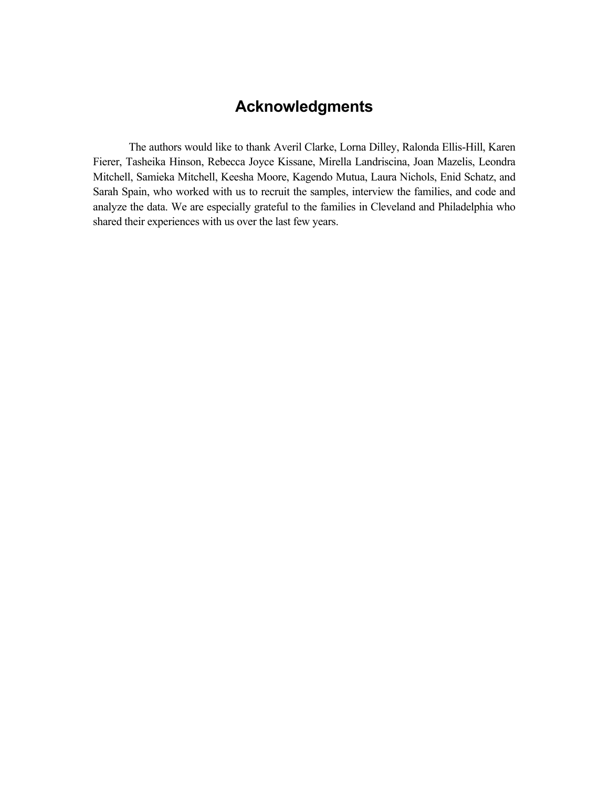# **Acknowledgments**

The authors would like to thank Averil Clarke, Lorna Dilley, Ralonda Ellis-Hill, Karen Fierer, Tasheika Hinson, Rebecca Joyce Kissane, Mirella Landriscina, Joan Mazelis, Leondra Mitchell, Samieka Mitchell, Keesha Moore, Kagendo Mutua, Laura Nichols, Enid Schatz, and Sarah Spain, who worked with us to recruit the samples, interview the families, and code and analyze the data. We are especially grateful to the families in Cleveland and Philadelphia who shared their experiences with us over the last few years.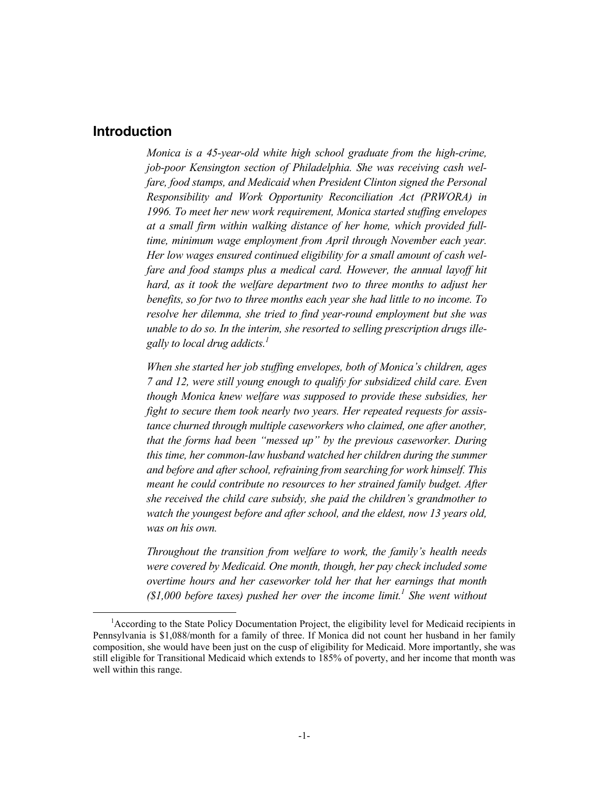# **Introduction**

*Monica is a 45-year-old white high school graduate from the high-crime, job-poor Kensington section of Philadelphia. She was receiving cash welfare, food stamps, and Medicaid when President Clinton signed the Personal Responsibility and Work Opportunity Reconciliation Act (PRWORA) in 1996. To meet her new work requirement, Monica started stuffing envelopes at a small firm within walking distance of her home, which provided fulltime, minimum wage employment from April through November each year. Her low wages ensured continued eligibility for a small amount of cash welfare and food stamps plus a medical card. However, the annual layoff hit hard, as it took the welfare department two to three months to adjust her benefits, so for two to three months each year she had little to no income. To resolve her dilemma, she tried to find year-round employment but she was unable to do so. In the interim, she resorted to selling prescription drugs illegally to local drug addicts.1*

*When she started her job stuffing envelopes, both of Monica's children, ages 7 and 12, were still young enough to qualify for subsidized child care. Even though Monica knew welfare was supposed to provide these subsidies, her fight to secure them took nearly two years. Her repeated requests for assistance churned through multiple caseworkers who claimed, one after another, that the forms had been "messed up" by the previous caseworker. During this time, her common-law husband watched her children during the summer and before and after school, refraining from searching for work himself. This meant he could contribute no resources to her strained family budget. After she received the child care subsidy, she paid the children's grandmother to watch the youngest before and after school, and the eldest, now 13 years old, was on his own.* 

*Throughout the transition from welfare to work, the family's health needs were covered by Medicaid. One month, though, her pay check included some overtime hours and her caseworker told her that her earnings that month*   $(S1,000$  before taxes) pushed her over the income limit.<sup>1</sup> She went without

 $\overline{\phantom{0}1}$ <sup>1</sup> According to the State Policy Documentation Project, the eligibility level for Medicaid recipients in Pennsylvania is \$1,088/month for a family of three. If Monica did not count her husband in her family composition, she would have been just on the cusp of eligibility for Medicaid. More importantly, she was still eligible for Transitional Medicaid which extends to 185% of poverty, and her income that month was well within this range.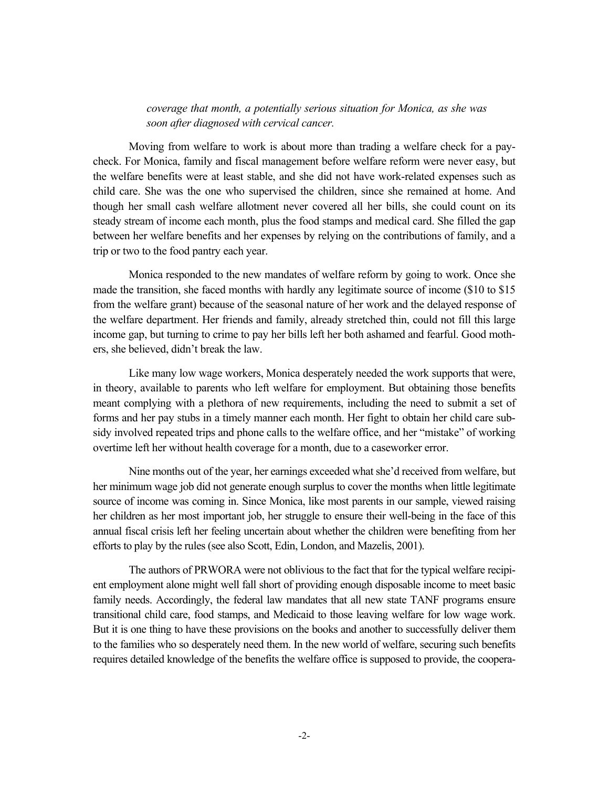*coverage that month, a potentially serious situation for Monica, as she was soon after diagnosed with cervical cancer.*

Moving from welfare to work is about more than trading a welfare check for a paycheck. For Monica, family and fiscal management before welfare reform were never easy, but the welfare benefits were at least stable, and she did not have work-related expenses such as child care. She was the one who supervised the children, since she remained at home. And though her small cash welfare allotment never covered all her bills, she could count on its steady stream of income each month, plus the food stamps and medical card. She filled the gap between her welfare benefits and her expenses by relying on the contributions of family, and a trip or two to the food pantry each year.

Monica responded to the new mandates of welfare reform by going to work. Once she made the transition, she faced months with hardly any legitimate source of income (\$10 to \$15 from the welfare grant) because of the seasonal nature of her work and the delayed response of the welfare department. Her friends and family, already stretched thin, could not fill this large income gap, but turning to crime to pay her bills left her both ashamed and fearful. Good mothers, she believed, didn't break the law.

Like many low wage workers, Monica desperately needed the work supports that were, in theory, available to parents who left welfare for employment. But obtaining those benefits meant complying with a plethora of new requirements, including the need to submit a set of forms and her pay stubs in a timely manner each month. Her fight to obtain her child care subsidy involved repeated trips and phone calls to the welfare office, and her "mistake" of working overtime left her without health coverage for a month, due to a caseworker error.

Nine months out of the year, her earnings exceeded what she'd received from welfare, but her minimum wage job did not generate enough surplus to cover the months when little legitimate source of income was coming in. Since Monica, like most parents in our sample, viewed raising her children as her most important job, her struggle to ensure their well-being in the face of this annual fiscal crisis left her feeling uncertain about whether the children were benefiting from her efforts to play by the rules (see also Scott, Edin, London, and Mazelis, 2001).

The authors of PRWORA were not oblivious to the fact that for the typical welfare recipient employment alone might well fall short of providing enough disposable income to meet basic family needs. Accordingly, the federal law mandates that all new state TANF programs ensure transitional child care, food stamps, and Medicaid to those leaving welfare for low wage work. But it is one thing to have these provisions on the books and another to successfully deliver them to the families who so desperately need them. In the new world of welfare, securing such benefits requires detailed knowledge of the benefits the welfare office is supposed to provide, the coopera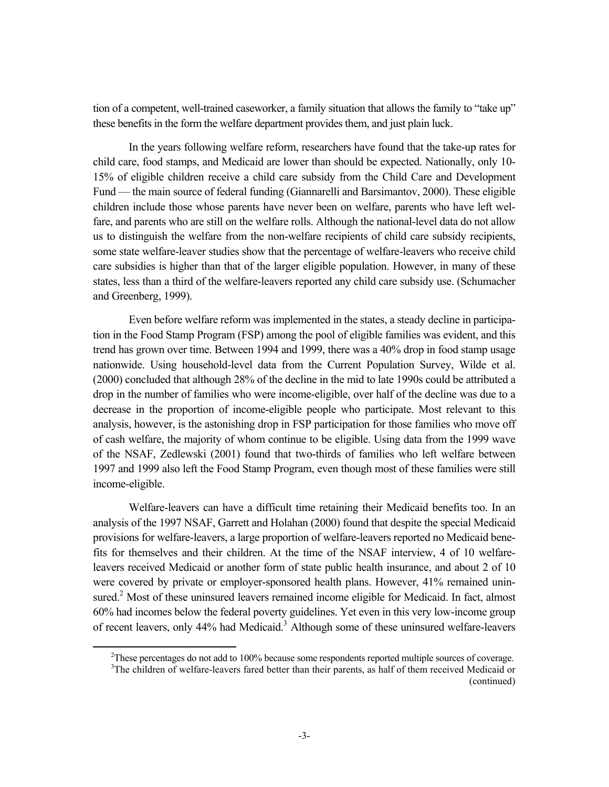tion of a competent, well-trained caseworker, a family situation that allows the family to "take up" these benefits in the form the welfare department provides them, and just plain luck.

In the years following welfare reform, researchers have found that the take-up rates for child care, food stamps, and Medicaid are lower than should be expected. Nationally, only 10- 15% of eligible children receive a child care subsidy from the Child Care and Development Fund — the main source of federal funding (Giannarelli and Barsimantov, 2000). These eligible children include those whose parents have never been on welfare, parents who have left welfare, and parents who are still on the welfare rolls. Although the national-level data do not allow us to distinguish the welfare from the non-welfare recipients of child care subsidy recipients, some state welfare-leaver studies show that the percentage of welfare-leavers who receive child care subsidies is higher than that of the larger eligible population. However, in many of these states, less than a third of the welfare-leavers reported any child care subsidy use. (Schumacher and Greenberg, 1999).

Even before welfare reform was implemented in the states, a steady decline in participation in the Food Stamp Program (FSP) among the pool of eligible families was evident, and this trend has grown over time. Between 1994 and 1999, there was a 40% drop in food stamp usage nationwide. Using household-level data from the Current Population Survey, Wilde et al. (2000) concluded that although 28% of the decline in the mid to late 1990s could be attributed a drop in the number of families who were income-eligible, over half of the decline was due to a decrease in the proportion of income-eligible people who participate. Most relevant to this analysis, however, is the astonishing drop in FSP participation for those families who move off of cash welfare, the majority of whom continue to be eligible. Using data from the 1999 wave of the NSAF, Zedlewski (2001) found that two-thirds of families who left welfare between 1997 and 1999 also left the Food Stamp Program, even though most of these families were still income-eligible.

Welfare-leavers can have a difficult time retaining their Medicaid benefits too. In an analysis of the 1997 NSAF, Garrett and Holahan (2000) found that despite the special Medicaid provisions for welfare-leavers, a large proportion of welfare-leavers reported no Medicaid benefits for themselves and their children. At the time of the NSAF interview, 4 of 10 welfareleavers received Medicaid or another form of state public health insurance, and about 2 of 10 were covered by private or employer-sponsored health plans. However, 41% remained uninsured.<sup>2</sup> Most of these uninsured leavers remained income eligible for Medicaid. In fact, almost 60% had incomes below the federal poverty guidelines. Yet even in this very low-income group of recent leavers, only 44% had Medicaid.<sup>3</sup> Although some of these uninsured welfare-leavers

 $\frac{1}{2}$ <sup>2</sup>These percentages do not add to 100% because some respondents reported multiple sources of coverage. <sup>3</sup>The children of welfare-leavers fared better than their parents, as half of them received Medicaid or (continued)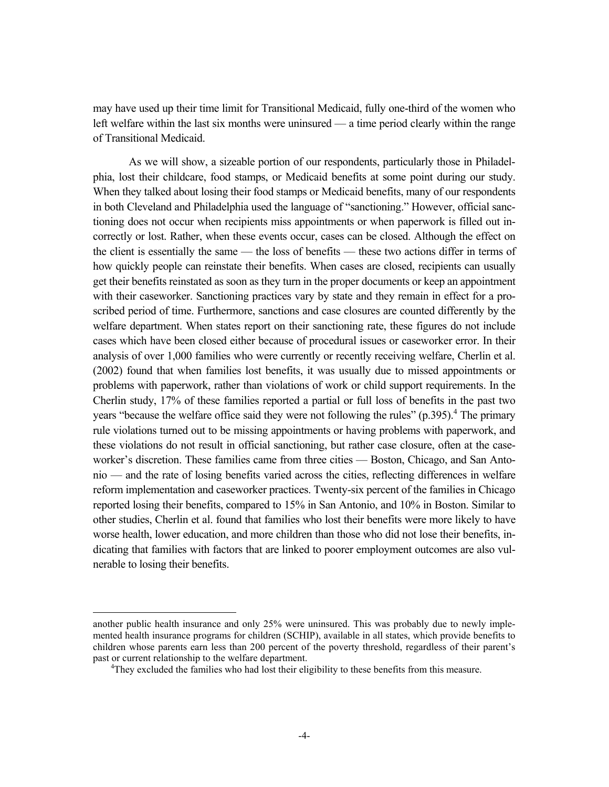may have used up their time limit for Transitional Medicaid, fully one-third of the women who left welfare within the last six months were uninsured — a time period clearly within the range of Transitional Medicaid.

As we will show, a sizeable portion of our respondents, particularly those in Philadelphia, lost their childcare, food stamps, or Medicaid benefits at some point during our study. When they talked about losing their food stamps or Medicaid benefits, many of our respondents in both Cleveland and Philadelphia used the language of "sanctioning." However, official sanctioning does not occur when recipients miss appointments or when paperwork is filled out incorrectly or lost. Rather, when these events occur, cases can be closed. Although the effect on the client is essentially the same — the loss of benefits — these two actions differ in terms of how quickly people can reinstate their benefits. When cases are closed, recipients can usually get their benefits reinstated as soon as they turn in the proper documents or keep an appointment with their caseworker. Sanctioning practices vary by state and they remain in effect for a proscribed period of time. Furthermore, sanctions and case closures are counted differently by the welfare department. When states report on their sanctioning rate, these figures do not include cases which have been closed either because of procedural issues or caseworker error. In their analysis of over 1,000 families who were currently or recently receiving welfare, Cherlin et al. (2002) found that when families lost benefits, it was usually due to missed appointments or problems with paperwork, rather than violations of work or child support requirements. In the Cherlin study, 17% of these families reported a partial or full loss of benefits in the past two years "because the welfare office said they were not following the rules" ( $p.395$ ).<sup>4</sup> The primary rule violations turned out to be missing appointments or having problems with paperwork, and these violations do not result in official sanctioning, but rather case closure, often at the caseworker's discretion. These families came from three cities — Boston, Chicago, and San Antonio — and the rate of losing benefits varied across the cities, reflecting differences in welfare reform implementation and caseworker practices. Twenty-six percent of the families in Chicago reported losing their benefits, compared to 15% in San Antonio, and 10% in Boston. Similar to other studies, Cherlin et al. found that families who lost their benefits were more likely to have worse health, lower education, and more children than those who did not lose their benefits, indicating that families with factors that are linked to poorer employment outcomes are also vulnerable to losing their benefits.

 $\overline{a}$ 

another public health insurance and only 25% were uninsured. This was probably due to newly implemented health insurance programs for children (SCHIP), available in all states, which provide benefits to children whose parents earn less than 200 percent of the poverty threshold, regardless of their parent's past or current relationship to the welfare department. 4

<sup>&</sup>lt;sup>4</sup>They excluded the families who had lost their eligibility to these benefits from this measure.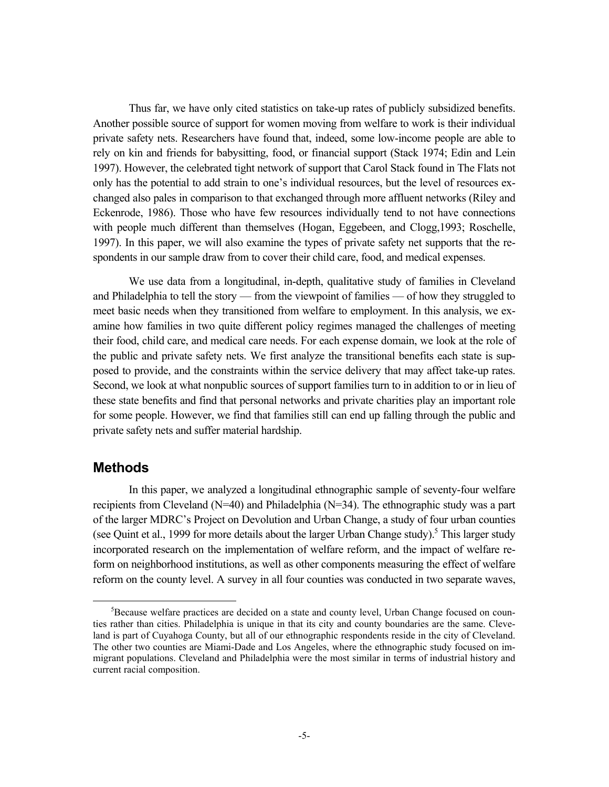Thus far, we have only cited statistics on take-up rates of publicly subsidized benefits. Another possible source of support for women moving from welfare to work is their individual private safety nets. Researchers have found that, indeed, some low-income people are able to rely on kin and friends for babysitting, food, or financial support (Stack 1974; Edin and Lein 1997). However, the celebrated tight network of support that Carol Stack found in The Flats not only has the potential to add strain to one's individual resources, but the level of resources exchanged also pales in comparison to that exchanged through more affluent networks (Riley and Eckenrode, 1986). Those who have few resources individually tend to not have connections with people much different than themselves (Hogan, Eggebeen, and Clogg, 1993; Roschelle, 1997). In this paper, we will also examine the types of private safety net supports that the respondents in our sample draw from to cover their child care, food, and medical expenses.

We use data from a longitudinal, in-depth, qualitative study of families in Cleveland and Philadelphia to tell the story — from the viewpoint of families — of how they struggled to meet basic needs when they transitioned from welfare to employment. In this analysis, we examine how families in two quite different policy regimes managed the challenges of meeting their food, child care, and medical care needs. For each expense domain, we look at the role of the public and private safety nets. We first analyze the transitional benefits each state is supposed to provide, and the constraints within the service delivery that may affect take-up rates. Second, we look at what nonpublic sources of support families turn to in addition to or in lieu of these state benefits and find that personal networks and private charities play an important role for some people. However, we find that families still can end up falling through the public and private safety nets and suffer material hardship.

# **Methods**

In this paper, we analyzed a longitudinal ethnographic sample of seventy-four welfare recipients from Cleveland ( $N=40$ ) and Philadelphia ( $N=34$ ). The ethnographic study was a part of the larger MDRC's Project on Devolution and Urban Change, a study of four urban counties (see Quint et al., 1999 for more details about the larger Urban Change study).<sup>5</sup> This larger study incorporated research on the implementation of welfare reform, and the impact of welfare reform on neighborhood institutions, as well as other components measuring the effect of welfare reform on the county level. A survey in all four counties was conducted in two separate waves,

 $rac{1}{5}$ <sup>5</sup>Because welfare practices are decided on a state and county level, Urban Change focused on counties rather than cities. Philadelphia is unique in that its city and county boundaries are the same. Cleveland is part of Cuyahoga County, but all of our ethnographic respondents reside in the city of Cleveland. The other two counties are Miami-Dade and Los Angeles, where the ethnographic study focused on immigrant populations. Cleveland and Philadelphia were the most similar in terms of industrial history and current racial composition.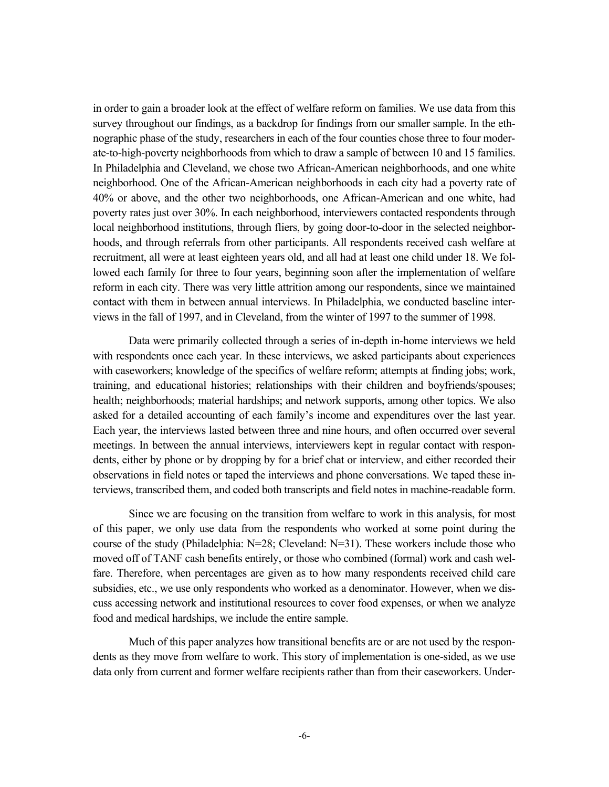in order to gain a broader look at the effect of welfare reform on families. We use data from this survey throughout our findings, as a backdrop for findings from our smaller sample. In the ethnographic phase of the study, researchers in each of the four counties chose three to four moderate-to-high-poverty neighborhoods from which to draw a sample of between 10 and 15 families. In Philadelphia and Cleveland, we chose two African-American neighborhoods, and one white neighborhood. One of the African-American neighborhoods in each city had a poverty rate of 40% or above, and the other two neighborhoods, one African-American and one white, had poverty rates just over 30%. In each neighborhood, interviewers contacted respondents through local neighborhood institutions, through fliers, by going door-to-door in the selected neighborhoods, and through referrals from other participants. All respondents received cash welfare at recruitment, all were at least eighteen years old, and all had at least one child under 18. We followed each family for three to four years, beginning soon after the implementation of welfare reform in each city. There was very little attrition among our respondents, since we maintained contact with them in between annual interviews. In Philadelphia, we conducted baseline interviews in the fall of 1997, and in Cleveland, from the winter of 1997 to the summer of 1998.

Data were primarily collected through a series of in-depth in-home interviews we held with respondents once each year. In these interviews, we asked participants about experiences with caseworkers; knowledge of the specifics of welfare reform; attempts at finding jobs; work, training, and educational histories; relationships with their children and boyfriends/spouses; health; neighborhoods; material hardships; and network supports, among other topics. We also asked for a detailed accounting of each family's income and expenditures over the last year. Each year, the interviews lasted between three and nine hours, and often occurred over several meetings. In between the annual interviews, interviewers kept in regular contact with respondents, either by phone or by dropping by for a brief chat or interview, and either recorded their observations in field notes or taped the interviews and phone conversations. We taped these interviews, transcribed them, and coded both transcripts and field notes in machine-readable form.

Since we are focusing on the transition from welfare to work in this analysis, for most of this paper, we only use data from the respondents who worked at some point during the course of the study (Philadelphia: N=28; Cleveland: N=31). These workers include those who moved off of TANF cash benefits entirely, or those who combined (formal) work and cash welfare. Therefore, when percentages are given as to how many respondents received child care subsidies, etc., we use only respondents who worked as a denominator. However, when we discuss accessing network and institutional resources to cover food expenses, or when we analyze food and medical hardships, we include the entire sample.

Much of this paper analyzes how transitional benefits are or are not used by the respondents as they move from welfare to work. This story of implementation is one-sided, as we use data only from current and former welfare recipients rather than from their caseworkers. Under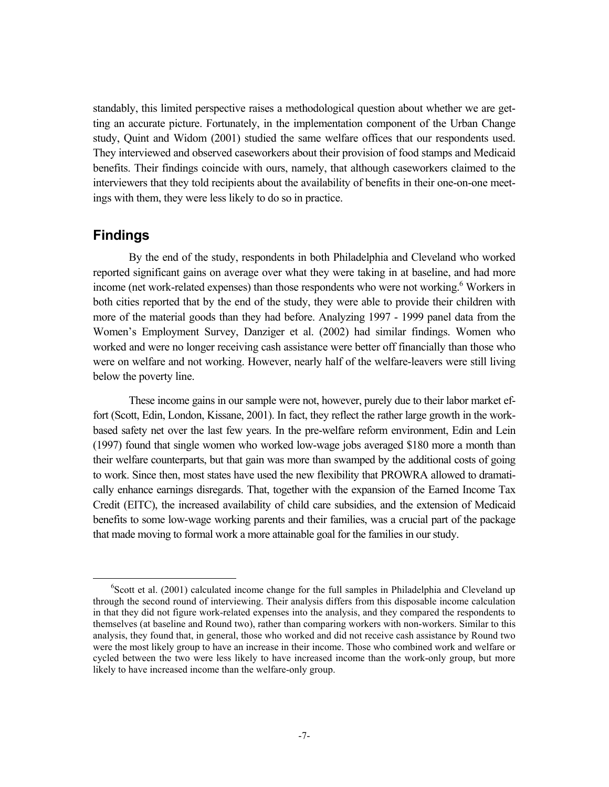standably, this limited perspective raises a methodological question about whether we are getting an accurate picture. Fortunately, in the implementation component of the Urban Change study, Quint and Widom (2001) studied the same welfare offices that our respondents used. They interviewed and observed caseworkers about their provision of food stamps and Medicaid benefits. Their findings coincide with ours, namely, that although caseworkers claimed to the interviewers that they told recipients about the availability of benefits in their one-on-one meetings with them, they were less likely to do so in practice.

# **Findings**

By the end of the study, respondents in both Philadelphia and Cleveland who worked reported significant gains on average over what they were taking in at baseline, and had more income (net work-related expenses) than those respondents who were not working.<sup>6</sup> Workers in both cities reported that by the end of the study, they were able to provide their children with more of the material goods than they had before. Analyzing 1997 - 1999 panel data from the Women's Employment Survey, Danziger et al. (2002) had similar findings. Women who worked and were no longer receiving cash assistance were better off financially than those who were on welfare and not working. However, nearly half of the welfare-leavers were still living below the poverty line.

These income gains in our sample were not, however, purely due to their labor market effort (Scott, Edin, London, Kissane, 2001). In fact, they reflect the rather large growth in the workbased safety net over the last few years. In the pre-welfare reform environment, Edin and Lein (1997) found that single women who worked low-wage jobs averaged \$180 more a month than their welfare counterparts, but that gain was more than swamped by the additional costs of going to work. Since then, most states have used the new flexibility that PROWRA allowed to dramatically enhance earnings disregards. That, together with the expansion of the Earned Income Tax Credit (EITC), the increased availability of child care subsidies, and the extension of Medicaid benefits to some low-wage working parents and their families, was a crucial part of the package that made moving to formal work a more attainable goal for the families in our study.

 <sup>6</sup>  $6$ Scott et al. (2001) calculated income change for the full samples in Philadelphia and Cleveland up through the second round of interviewing. Their analysis differs from this disposable income calculation in that they did not figure work-related expenses into the analysis, and they compared the respondents to themselves (at baseline and Round two), rather than comparing workers with non-workers. Similar to this analysis, they found that, in general, those who worked and did not receive cash assistance by Round two were the most likely group to have an increase in their income. Those who combined work and welfare or cycled between the two were less likely to have increased income than the work-only group, but more likely to have increased income than the welfare-only group.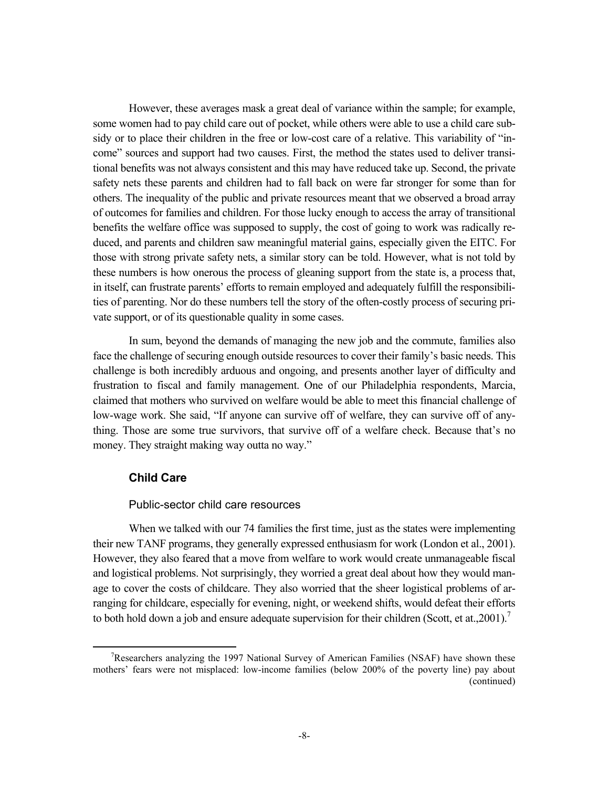However, these averages mask a great deal of variance within the sample; for example, some women had to pay child care out of pocket, while others were able to use a child care subsidy or to place their children in the free or low-cost care of a relative. This variability of "income" sources and support had two causes. First, the method the states used to deliver transitional benefits was not always consistent and this may have reduced take up. Second, the private safety nets these parents and children had to fall back on were far stronger for some than for others. The inequality of the public and private resources meant that we observed a broad array of outcomes for families and children. For those lucky enough to access the array of transitional benefits the welfare office was supposed to supply, the cost of going to work was radically reduced, and parents and children saw meaningful material gains, especially given the EITC. For those with strong private safety nets, a similar story can be told. However, what is not told by these numbers is how onerous the process of gleaning support from the state is, a process that, in itself, can frustrate parents' efforts to remain employed and adequately fulfill the responsibilities of parenting. Nor do these numbers tell the story of the often-costly process of securing private support, or of its questionable quality in some cases.

In sum, beyond the demands of managing the new job and the commute, families also face the challenge of securing enough outside resources to cover their family's basic needs. This challenge is both incredibly arduous and ongoing, and presents another layer of difficulty and frustration to fiscal and family management. One of our Philadelphia respondents, Marcia, claimed that mothers who survived on welfare would be able to meet this financial challenge of low-wage work. She said, "If anyone can survive off of welfare, they can survive off of anything. Those are some true survivors, that survive off of a welfare check. Because that's no money. They straight making way outta no way."

## **Child Care**

#### Public-sector child care resources

When we talked with our 74 families the first time, just as the states were implementing their new TANF programs, they generally expressed enthusiasm for work (London et al., 2001). However, they also feared that a move from welfare to work would create unmanageable fiscal and logistical problems. Not surprisingly, they worried a great deal about how they would manage to cover the costs of childcare. They also worried that the sheer logistical problems of arranging for childcare, especially for evening, night, or weekend shifts, would defeat their efforts to both hold down a job and ensure adequate supervision for their children (Scott, et at., 2001).<sup>7</sup>

 $\frac{1}{7}$ Researchers analyzing the 1997 National Survey of American Families (NSAF) have shown these mothers' fears were not misplaced: low-income families (below 200% of the poverty line) pay about (continued)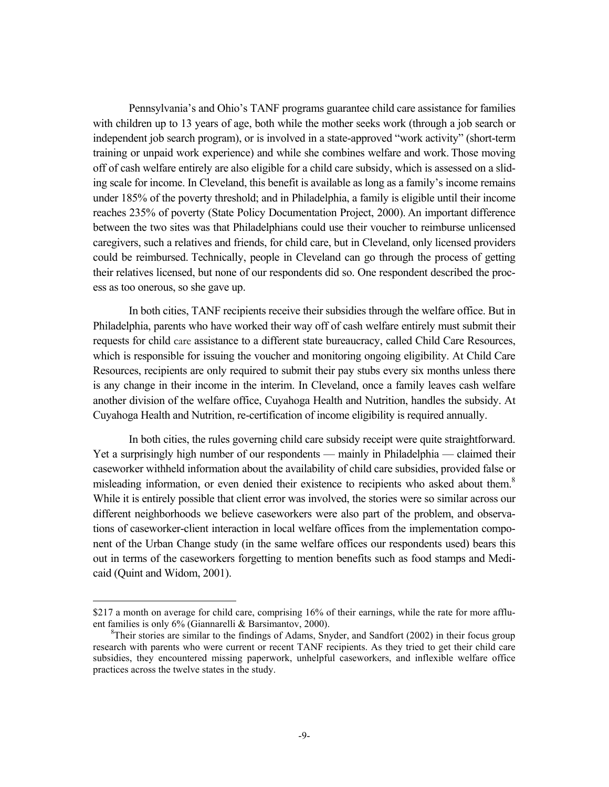Pennsylvania's and Ohio's TANF programs guarantee child care assistance for families with children up to 13 years of age, both while the mother seeks work (through a job search or independent job search program), or is involved in a state-approved "work activity" (short-term training or unpaid work experience) and while she combines welfare and work. Those moving off of cash welfare entirely are also eligible for a child care subsidy, which is assessed on a sliding scale for income. In Cleveland, this benefit is available as long as a family's income remains under 185% of the poverty threshold; and in Philadelphia, a family is eligible until their income reaches 235% of poverty (State Policy Documentation Project, 2000). An important difference between the two sites was that Philadelphians could use their voucher to reimburse unlicensed caregivers, such a relatives and friends, for child care, but in Cleveland, only licensed providers could be reimbursed. Technically, people in Cleveland can go through the process of getting their relatives licensed, but none of our respondents did so. One respondent described the process as too onerous, so she gave up.

In both cities, TANF recipients receive their subsidies through the welfare office. But in Philadelphia, parents who have worked their way off of cash welfare entirely must submit their requests for child care assistance to a different state bureaucracy, called Child Care Resources, which is responsible for issuing the voucher and monitoring ongoing eligibility. At Child Care Resources, recipients are only required to submit their pay stubs every six months unless there is any change in their income in the interim. In Cleveland, once a family leaves cash welfare another division of the welfare office, Cuyahoga Health and Nutrition, handles the subsidy. At Cuyahoga Health and Nutrition, re-certification of income eligibility is required annually.

In both cities, the rules governing child care subsidy receipt were quite straightforward. Yet a surprisingly high number of our respondents — mainly in Philadelphia — claimed their caseworker withheld information about the availability of child care subsidies, provided false or misleading information, or even denied their existence to recipients who asked about them.<sup>8</sup> While it is entirely possible that client error was involved, the stories were so similar across our different neighborhoods we believe caseworkers were also part of the problem, and observations of caseworker-client interaction in local welfare offices from the implementation component of the Urban Change study (in the same welfare offices our respondents used) bears this out in terms of the caseworkers forgetting to mention benefits such as food stamps and Medicaid (Quint and Widom, 2001).

 $\overline{a}$ 

<sup>\$217</sup> a month on average for child care, comprising 16% of their earnings, while the rate for more affluent families is only 6% (Giannarelli & Barsimantov, 2000).

 ${}^8$ Their stories are similar to the findings of Adams, Snyder, and Sandfort (2002) in their focus group research with parents who were current or recent TANF recipients. As they tried to get their child care subsidies, they encountered missing paperwork, unhelpful caseworkers, and inflexible welfare office practices across the twelve states in the study.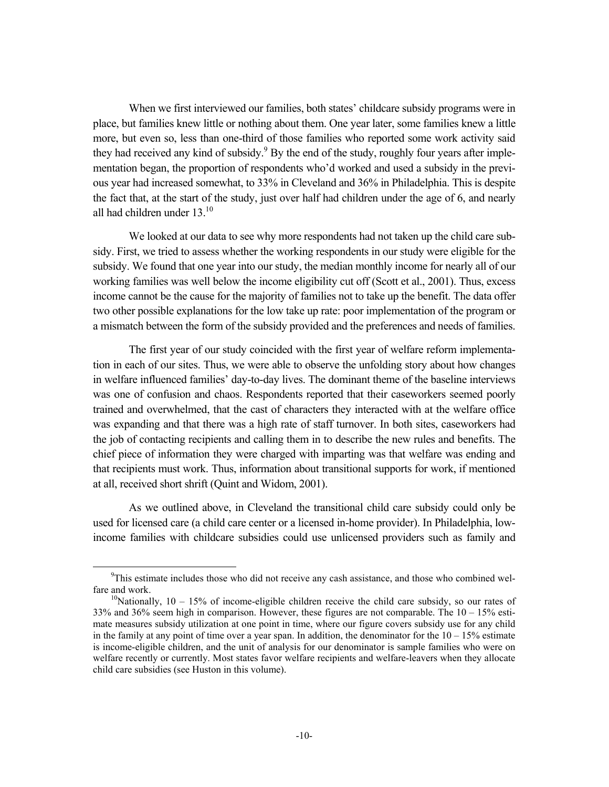When we first interviewed our families, both states' childcare subsidy programs were in place, but families knew little or nothing about them. One year later, some families knew a little more, but even so, less than one-third of those families who reported some work activity said they had received any kind of subsidy.<sup>9</sup> By the end of the study, roughly four years after implementation began, the proportion of respondents who'd worked and used a subsidy in the previous year had increased somewhat, to 33% in Cleveland and 36% in Philadelphia. This is despite the fact that, at the start of the study, just over half had children under the age of 6, and nearly all had children under  $13^{10}$ 

We looked at our data to see why more respondents had not taken up the child care subsidy. First, we tried to assess whether the working respondents in our study were eligible for the subsidy. We found that one year into our study, the median monthly income for nearly all of our working families was well below the income eligibility cut off (Scott et al., 2001). Thus, excess income cannot be the cause for the majority of families not to take up the benefit. The data offer two other possible explanations for the low take up rate: poor implementation of the program or a mismatch between the form of the subsidy provided and the preferences and needs of families.

The first year of our study coincided with the first year of welfare reform implementation in each of our sites. Thus, we were able to observe the unfolding story about how changes in welfare influenced families' day-to-day lives. The dominant theme of the baseline interviews was one of confusion and chaos. Respondents reported that their caseworkers seemed poorly trained and overwhelmed, that the cast of characters they interacted with at the welfare office was expanding and that there was a high rate of staff turnover. In both sites, caseworkers had the job of contacting recipients and calling them in to describe the new rules and benefits. The chief piece of information they were charged with imparting was that welfare was ending and that recipients must work. Thus, information about transitional supports for work, if mentioned at all, received short shrift (Quint and Widom, 2001).

As we outlined above, in Cleveland the transitional child care subsidy could only be used for licensed care (a child care center or a licensed in-home provider). In Philadelphia, lowincome families with childcare subsidies could use unlicensed providers such as family and

 <sup>9</sup>  $\rm{PThis}$  estimate includes those who did not receive any cash assistance, and those who combined welfare and work.<br><sup>10</sup>Nationally, 10 – 15% of income-eligible children receive the child care subsidy, so our rates of

<sup>33%</sup> and 36% seem high in comparison. However, these figures are not comparable. The  $10 - 15\%$  estimate measures subsidy utilization at one point in time, where our figure covers subsidy use for any child in the family at any point of time over a year span. In addition, the denominator for the  $10 - 15\%$  estimate is income-eligible children, and the unit of analysis for our denominator is sample families who were on welfare recently or currently. Most states favor welfare recipients and welfare-leavers when they allocate child care subsidies (see Huston in this volume).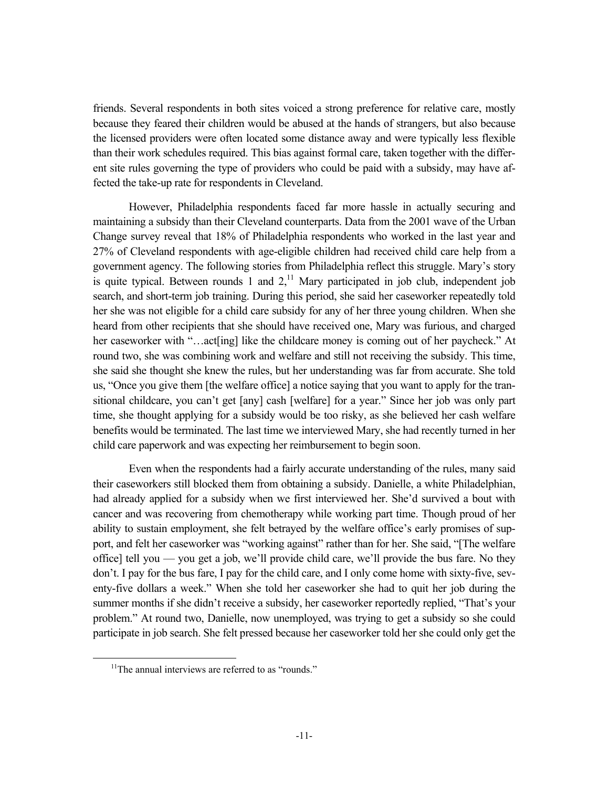friends. Several respondents in both sites voiced a strong preference for relative care, mostly because they feared their children would be abused at the hands of strangers, but also because the licensed providers were often located some distance away and were typically less flexible than their work schedules required. This bias against formal care, taken together with the different site rules governing the type of providers who could be paid with a subsidy, may have affected the take-up rate for respondents in Cleveland.

However, Philadelphia respondents faced far more hassle in actually securing and maintaining a subsidy than their Cleveland counterparts. Data from the 2001 wave of the Urban Change survey reveal that 18% of Philadelphia respondents who worked in the last year and 27% of Cleveland respondents with age-eligible children had received child care help from a government agency. The following stories from Philadelphia reflect this struggle. Mary's story is quite typical. Between rounds 1 and  $2<sup>11</sup>$  Mary participated in job club, independent job search, and short-term job training. During this period, she said her caseworker repeatedly told her she was not eligible for a child care subsidy for any of her three young children. When she heard from other recipients that she should have received one, Mary was furious, and charged her caseworker with "…act[ing] like the childcare money is coming out of her paycheck." At round two, she was combining work and welfare and still not receiving the subsidy. This time, she said she thought she knew the rules, but her understanding was far from accurate. She told us, "Once you give them [the welfare office] a notice saying that you want to apply for the transitional childcare, you can't get [any] cash [welfare] for a year." Since her job was only part time, she thought applying for a subsidy would be too risky, as she believed her cash welfare benefits would be terminated. The last time we interviewed Mary, she had recently turned in her child care paperwork and was expecting her reimbursement to begin soon.

Even when the respondents had a fairly accurate understanding of the rules, many said their caseworkers still blocked them from obtaining a subsidy. Danielle, a white Philadelphian, had already applied for a subsidy when we first interviewed her. She'd survived a bout with cancer and was recovering from chemotherapy while working part time. Though proud of her ability to sustain employment, she felt betrayed by the welfare office's early promises of support, and felt her caseworker was "working against" rather than for her. She said, "[The welfare office] tell you — you get a job, we'll provide child care, we'll provide the bus fare. No they don't. I pay for the bus fare, I pay for the child care, and I only come home with sixty-five, seventy-five dollars a week." When she told her caseworker she had to quit her job during the summer months if she didn't receive a subsidy, her caseworker reportedly replied, "That's your problem." At round two, Danielle, now unemployed, was trying to get a subsidy so she could participate in job search. She felt pressed because her caseworker told her she could only get the

 $11$ The annual interviews are referred to as "rounds."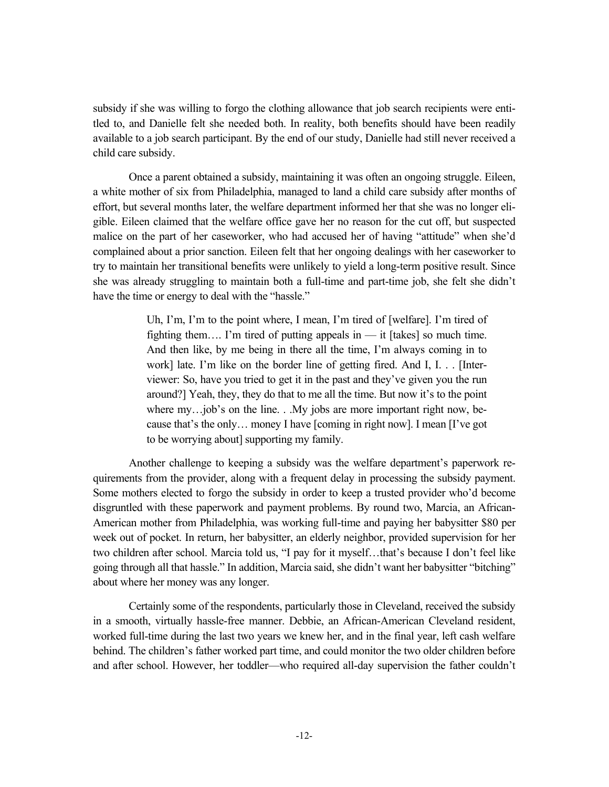subsidy if she was willing to forgo the clothing allowance that job search recipients were entitled to, and Danielle felt she needed both. In reality, both benefits should have been readily available to a job search participant. By the end of our study, Danielle had still never received a child care subsidy.

Once a parent obtained a subsidy, maintaining it was often an ongoing struggle. Eileen, a white mother of six from Philadelphia, managed to land a child care subsidy after months of effort, but several months later, the welfare department informed her that she was no longer eligible. Eileen claimed that the welfare office gave her no reason for the cut off, but suspected malice on the part of her caseworker, who had accused her of having "attitude" when she'd complained about a prior sanction. Eileen felt that her ongoing dealings with her caseworker to try to maintain her transitional benefits were unlikely to yield a long-term positive result. Since she was already struggling to maintain both a full-time and part-time job, she felt she didn't have the time or energy to deal with the "hassle."

> Uh, I'm, I'm to the point where, I mean, I'm tired of [welfare]. I'm tired of fighting them.... I'm tired of putting appeals in  $-$  it [takes] so much time. And then like, by me being in there all the time, I'm always coming in to work] late. I'm like on the border line of getting fired. And I, I. . . [Interviewer: So, have you tried to get it in the past and they've given you the run around?] Yeah, they, they do that to me all the time. But now it's to the point where my...job's on the line. . .My jobs are more important right now, because that's the only… money I have [coming in right now]. I mean [I've got to be worrying about] supporting my family.

Another challenge to keeping a subsidy was the welfare department's paperwork requirements from the provider, along with a frequent delay in processing the subsidy payment. Some mothers elected to forgo the subsidy in order to keep a trusted provider who'd become disgruntled with these paperwork and payment problems. By round two, Marcia, an African-American mother from Philadelphia, was working full-time and paying her babysitter \$80 per week out of pocket. In return, her babysitter, an elderly neighbor, provided supervision for her two children after school. Marcia told us, "I pay for it myself…that's because I don't feel like going through all that hassle." In addition, Marcia said, she didn't want her babysitter "bitching" about where her money was any longer.

Certainly some of the respondents, particularly those in Cleveland, received the subsidy in a smooth, virtually hassle-free manner. Debbie, an African-American Cleveland resident, worked full-time during the last two years we knew her, and in the final year, left cash welfare behind. The children's father worked part time, and could monitor the two older children before and after school. However, her toddler—who required all-day supervision the father couldn't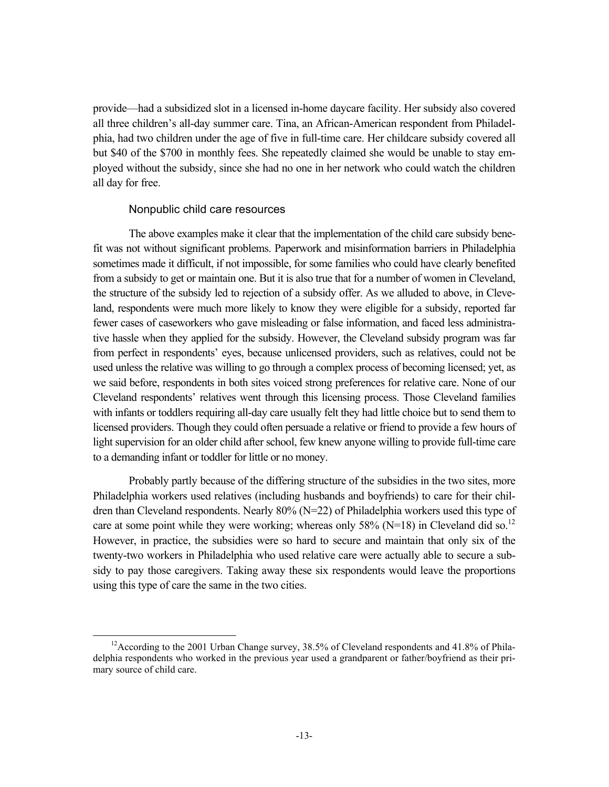provide—had a subsidized slot in a licensed in-home daycare facility. Her subsidy also covered all three children's all-day summer care. Tina, an African-American respondent from Philadelphia, had two children under the age of five in full-time care. Her childcare subsidy covered all but \$40 of the \$700 in monthly fees. She repeatedly claimed she would be unable to stay employed without the subsidy, since she had no one in her network who could watch the children all day for free.

### Nonpublic child care resources

The above examples make it clear that the implementation of the child care subsidy benefit was not without significant problems. Paperwork and misinformation barriers in Philadelphia sometimes made it difficult, if not impossible, for some families who could have clearly benefited from a subsidy to get or maintain one. But it is also true that for a number of women in Cleveland, the structure of the subsidy led to rejection of a subsidy offer. As we alluded to above, in Cleveland, respondents were much more likely to know they were eligible for a subsidy, reported far fewer cases of caseworkers who gave misleading or false information, and faced less administrative hassle when they applied for the subsidy. However, the Cleveland subsidy program was far from perfect in respondents' eyes, because unlicensed providers, such as relatives, could not be used unless the relative was willing to go through a complex process of becoming licensed; yet, as we said before, respondents in both sites voiced strong preferences for relative care. None of our Cleveland respondents' relatives went through this licensing process. Those Cleveland families with infants or toddlers requiring all-day care usually felt they had little choice but to send them to licensed providers. Though they could often persuade a relative or friend to provide a few hours of light supervision for an older child after school, few knew anyone willing to provide full-time care to a demanding infant or toddler for little or no money.

Probably partly because of the differing structure of the subsidies in the two sites, more Philadelphia workers used relatives (including husbands and boyfriends) to care for their children than Cleveland respondents. Nearly 80% (N=22) of Philadelphia workers used this type of care at some point while they were working; whereas only 58% (N=18) in Cleveland did so.<sup>12</sup> However, in practice, the subsidies were so hard to secure and maintain that only six of the twenty-two workers in Philadelphia who used relative care were actually able to secure a subsidy to pay those caregivers. Taking away these six respondents would leave the proportions using this type of care the same in the two cities.

<sup>&</sup>lt;sup>12</sup> According to the 2001 Urban Change survey, 38.5% of Cleveland respondents and 41.8% of Philadelphia respondents who worked in the previous year used a grandparent or father/boyfriend as their primary source of child care.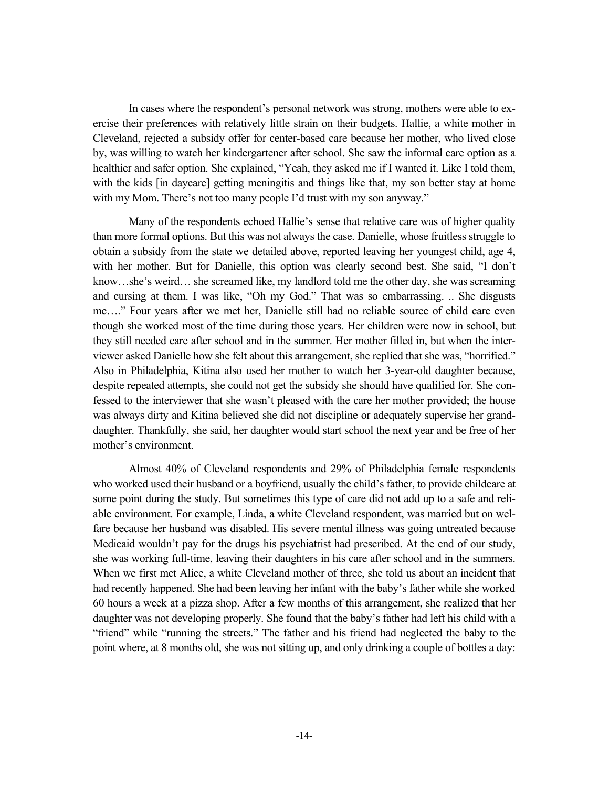In cases where the respondent's personal network was strong, mothers were able to exercise their preferences with relatively little strain on their budgets. Hallie, a white mother in Cleveland, rejected a subsidy offer for center-based care because her mother, who lived close by, was willing to watch her kindergartener after school. She saw the informal care option as a healthier and safer option. She explained, "Yeah, they asked me if I wanted it. Like I told them, with the kids [in daycare] getting meningitis and things like that, my son better stay at home with my Mom. There's not too many people I'd trust with my son anyway."

Many of the respondents echoed Hallie's sense that relative care was of higher quality than more formal options. But this was not always the case. Danielle, whose fruitless struggle to obtain a subsidy from the state we detailed above, reported leaving her youngest child, age 4, with her mother. But for Danielle, this option was clearly second best. She said, "I don't know…she's weird… she screamed like, my landlord told me the other day, she was screaming and cursing at them. I was like, "Oh my God." That was so embarrassing. .. She disgusts me…." Four years after we met her, Danielle still had no reliable source of child care even though she worked most of the time during those years. Her children were now in school, but they still needed care after school and in the summer. Her mother filled in, but when the interviewer asked Danielle how she felt about this arrangement, she replied that she was, "horrified." Also in Philadelphia, Kitina also used her mother to watch her 3-year-old daughter because, despite repeated attempts, she could not get the subsidy she should have qualified for. She confessed to the interviewer that she wasn't pleased with the care her mother provided; the house was always dirty and Kitina believed she did not discipline or adequately supervise her granddaughter. Thankfully, she said, her daughter would start school the next year and be free of her mother's environment.

Almost 40% of Cleveland respondents and 29% of Philadelphia female respondents who worked used their husband or a boyfriend, usually the child's father, to provide childcare at some point during the study. But sometimes this type of care did not add up to a safe and reliable environment. For example, Linda, a white Cleveland respondent, was married but on welfare because her husband was disabled. His severe mental illness was going untreated because Medicaid wouldn't pay for the drugs his psychiatrist had prescribed. At the end of our study, she was working full-time, leaving their daughters in his care after school and in the summers. When we first met Alice, a white Cleveland mother of three, she told us about an incident that had recently happened. She had been leaving her infant with the baby's father while she worked 60 hours a week at a pizza shop. After a few months of this arrangement, she realized that her daughter was not developing properly. She found that the baby's father had left his child with a "friend" while "running the streets." The father and his friend had neglected the baby to the point where, at 8 months old, she was not sitting up, and only drinking a couple of bottles a day: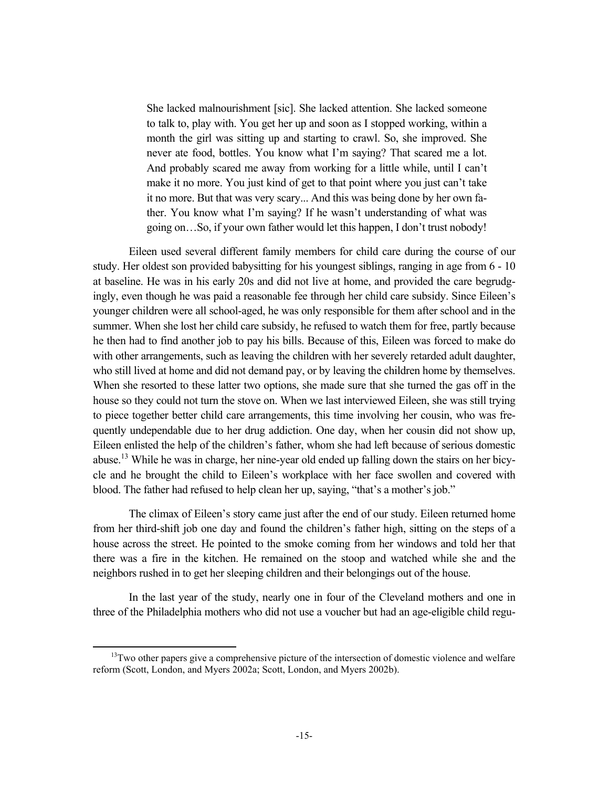She lacked malnourishment [sic]. She lacked attention. She lacked someone to talk to, play with. You get her up and soon as I stopped working, within a month the girl was sitting up and starting to crawl. So, she improved. She never ate food, bottles. You know what I'm saying? That scared me a lot. And probably scared me away from working for a little while, until I can't make it no more. You just kind of get to that point where you just can't take it no more. But that was very scary... And this was being done by her own father. You know what I'm saying? If he wasn't understanding of what was going on…So, if your own father would let this happen, I don't trust nobody!

Eileen used several different family members for child care during the course of our study. Her oldest son provided babysitting for his youngest siblings, ranging in age from 6 - 10 at baseline. He was in his early 20s and did not live at home, and provided the care begrudgingly, even though he was paid a reasonable fee through her child care subsidy. Since Eileen's younger children were all school-aged, he was only responsible for them after school and in the summer. When she lost her child care subsidy, he refused to watch them for free, partly because he then had to find another job to pay his bills. Because of this, Eileen was forced to make do with other arrangements, such as leaving the children with her severely retarded adult daughter, who still lived at home and did not demand pay, or by leaving the children home by themselves. When she resorted to these latter two options, she made sure that she turned the gas off in the house so they could not turn the stove on. When we last interviewed Eileen, she was still trying to piece together better child care arrangements, this time involving her cousin, who was frequently undependable due to her drug addiction. One day, when her cousin did not show up, Eileen enlisted the help of the children's father, whom she had left because of serious domestic abuse.<sup>13</sup> While he was in charge, her nine-year old ended up falling down the stairs on her bicycle and he brought the child to Eileen's workplace with her face swollen and covered with blood. The father had refused to help clean her up, saying, "that's a mother's job."

The climax of Eileen's story came just after the end of our study. Eileen returned home from her third-shift job one day and found the children's father high, sitting on the steps of a house across the street. He pointed to the smoke coming from her windows and told her that there was a fire in the kitchen. He remained on the stoop and watched while she and the neighbors rushed in to get her sleeping children and their belongings out of the house.

In the last year of the study, nearly one in four of the Cleveland mothers and one in three of the Philadelphia mothers who did not use a voucher but had an age-eligible child regu-

<sup>&</sup>lt;sup>13</sup>Two other papers give a comprehensive picture of the intersection of domestic violence and welfare reform (Scott, London, and Myers 2002a; Scott, London, and Myers 2002b).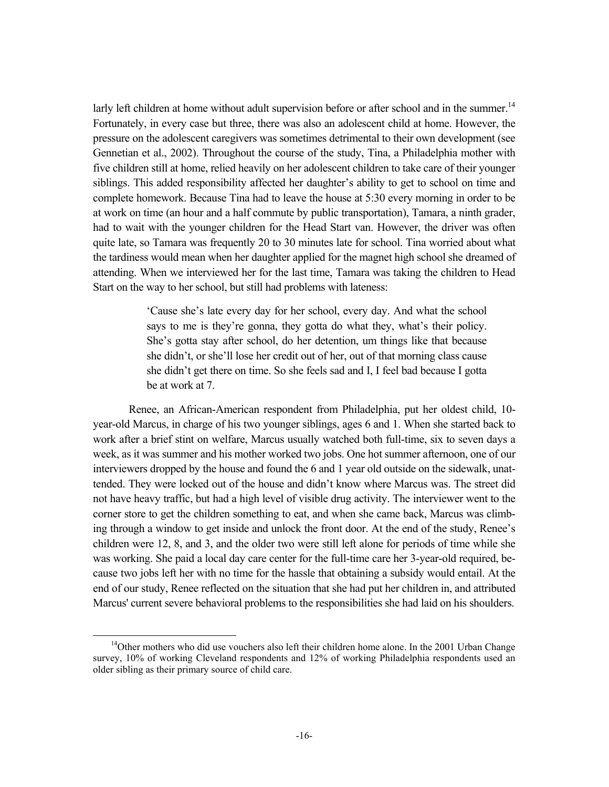larly left children at home without adult supervision before or after school and in the summer.<sup>14</sup> Fortunately, in every case but three, there was also an adolescent child at home. However, the pressure on the adolescent caregivers was sometimes detrimental to their own development (see Gennetian et al., 2002). Throughout the course of the study, Tina, a Philadelphia mother with five children still at home, relied heavily on her adolescent children to take care of their younger siblings. This added responsibility affected her daughter's ability to get to school on time and complete homework. Because Tina had to leave the house at 5:30 every morning in order to be at work on time (an hour and a half commute by public transportation), Tamara, a ninth grader, had to wait with the younger children for the Head Start van. However, the driver was often quite late, so Tamara was frequently 20 to 30 minutes late for school. Tina worried about what the tardiness would mean when her daughter applied for the magnet high school she dreamed of attending. When we interviewed her for the last time, Tamara was taking the children to Head Start on the way to her school, but still had problems with lateness:

> 'Cause she's late every day for her school, every day. And what the school says to me is they're gonna, they gotta do what they, what's their policy. She's gotta stay after school, do her detention, um things like that because she didn't, or she'll lose her credit out of her, out of that morning class cause she didn't get there on time. So she feels sad and I, I feel bad because I gotta be at work at 7.

Renee, an African-American respondent from Philadelphia, put her oldest child, 10 year-old Marcus, in charge of his two younger siblings, ages 6 and 1. When she started back to work after a brief stint on welfare, Marcus usually watched both full-time, six to seven days a week, as it was summer and his mother worked two jobs. One hot summer afternoon, one of our interviewers dropped by the house and found the 6 and 1 year old outside on the sidewalk, unattended. They were locked out of the house and didn't know where Marcus was. The street did not have heavy traffic, but had a high level of visible drug activity. The interviewer went to the corner store to get the children something to eat, and when she came back, Marcus was climbing through a window to get inside and unlock the front door. At the end of the study, Renee's children were 12, 8, and 3, and the older two were still left alone for periods of time while she was working. She paid a local day care center for the full-time care her 3-year-old required, because two jobs left her with no time for the hassle that obtaining a subsidy would entail. At the end of our study, Renee reflected on the situation that she had put her children in, and attributed Marcus' current severe behavioral problems to the responsibilities she had laid on his shoulders.

<sup>&</sup>lt;sup>14</sup>Other mothers who did use vouchers also left their children home alone. In the 2001 Urban Change survey, 10% of working Cleveland respondents and 12% of working Philadelphia respondents used an older sibling as their primary source of child care.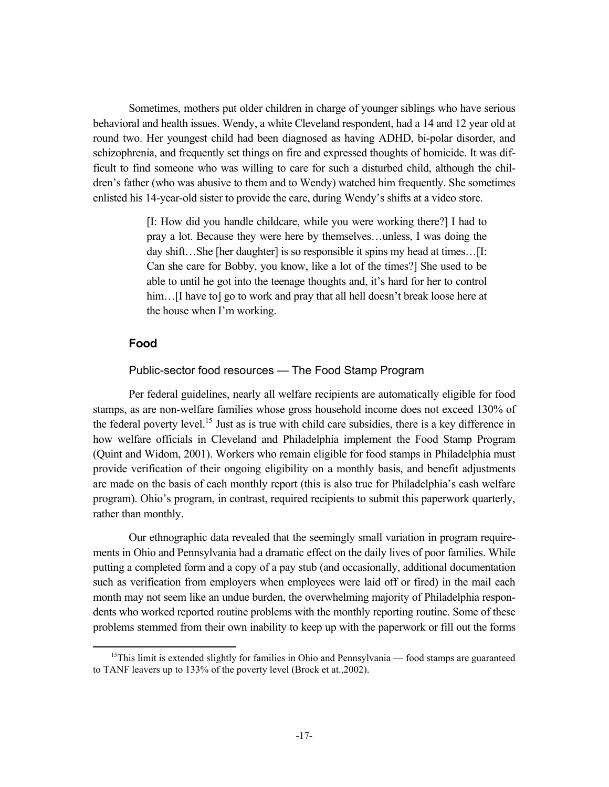Sometimes, mothers put older children in charge of younger siblings who have serious behavioral and health issues. Wendy, a white Cleveland respondent, had a 14 and 12 year old at round two. Her youngest child had been diagnosed as having ADHD, bi-polar disorder, and schizophrenia, and frequently set things on fire and expressed thoughts of homicide. It was difficult to find someone who was willing to care for such a disturbed child, although the children's father (who was abusive to them and to Wendy) watched him frequently. She sometimes enlisted his 14-year-old sister to provide the care, during Wendy's shifts at a video store.

> [I: How did you handle childcare, while you were working there?] I had to pray a lot. Because they were here by themselves…unless, I was doing the day shift...She [her daughter] is so responsible it spins my head at times...[I: Can she care for Bobby, you know, like a lot of the times?] She used to be able to until he got into the teenage thoughts and, it's hard for her to control him...[I have to] go to work and pray that all hell doesn't break loose here at the house when I'm working.

## **Food**

### Public-sector food resources — The Food Stamp Program

Per federal guidelines, nearly all welfare recipients are automatically eligible for food stamps, as are non-welfare families whose gross household income does not exceed 130% of the federal poverty level.<sup>15</sup> Just as is true with child care subsidies, there is a key difference in how welfare officials in Cleveland and Philadelphia implement the Food Stamp Program (Quint and Widom, 2001). Workers who remain eligible for food stamps in Philadelphia must provide verification of their ongoing eligibility on a monthly basis, and benefit adjustments are made on the basis of each monthly report (this is also true for Philadelphia's cash welfare program). Ohio's program, in contrast, required recipients to submit this paperwork quarterly, rather than monthly.

Our ethnographic data revealed that the seemingly small variation in program requirements in Ohio and Pennsylvania had a dramatic effect on the daily lives of poor families. While putting a completed form and a copy of a pay stub (and occasionally, additional documentation such as verification from employers when employees were laid off or fired) in the mail each month may not seem like an undue burden, the overwhelming majority of Philadelphia respondents who worked reported routine problems with the monthly reporting routine. Some of these problems stemmed from their own inability to keep up with the paperwork or fill out the forms

 $15$ This limit is extended slightly for families in Ohio and Pennsylvania — food stamps are guaranteed to TANF leavers up to 133% of the poverty level (Brock et at.,2002).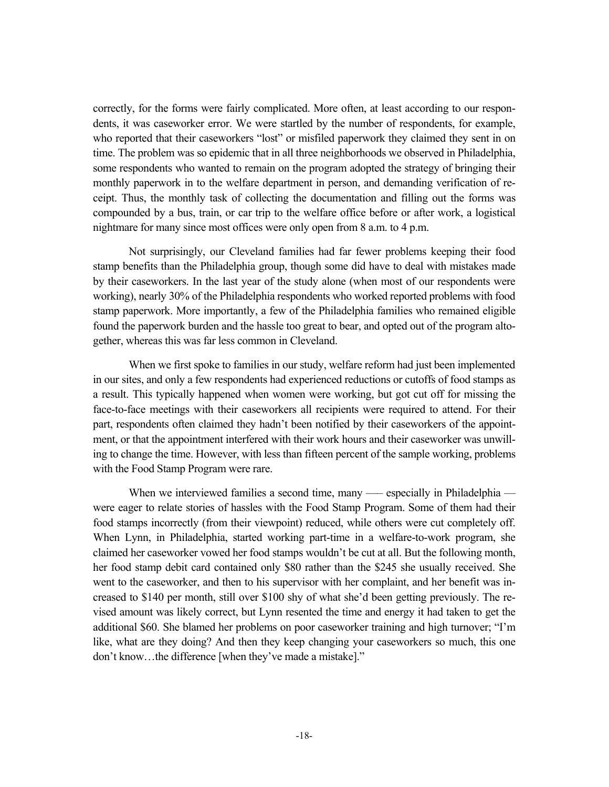correctly, for the forms were fairly complicated. More often, at least according to our respondents, it was caseworker error. We were startled by the number of respondents, for example, who reported that their caseworkers "lost" or misfiled paperwork they claimed they sent in on time. The problem was so epidemic that in all three neighborhoods we observed in Philadelphia, some respondents who wanted to remain on the program adopted the strategy of bringing their monthly paperwork in to the welfare department in person, and demanding verification of receipt. Thus, the monthly task of collecting the documentation and filling out the forms was compounded by a bus, train, or car trip to the welfare office before or after work, a logistical nightmare for many since most offices were only open from 8 a.m. to 4 p.m.

Not surprisingly, our Cleveland families had far fewer problems keeping their food stamp benefits than the Philadelphia group, though some did have to deal with mistakes made by their caseworkers. In the last year of the study alone (when most of our respondents were working), nearly 30% of the Philadelphia respondents who worked reported problems with food stamp paperwork. More importantly, a few of the Philadelphia families who remained eligible found the paperwork burden and the hassle too great to bear, and opted out of the program altogether, whereas this was far less common in Cleveland.

When we first spoke to families in our study, welfare reform had just been implemented in our sites, and only a few respondents had experienced reductions or cutoffs of food stamps as a result. This typically happened when women were working, but got cut off for missing the face-to-face meetings with their caseworkers all recipients were required to attend. For their part, respondents often claimed they hadn't been notified by their caseworkers of the appointment, or that the appointment interfered with their work hours and their caseworker was unwilling to change the time. However, with less than fifteen percent of the sample working, problems with the Food Stamp Program were rare.

When we interviewed families a second time, many —— especially in Philadelphia were eager to relate stories of hassles with the Food Stamp Program. Some of them had their food stamps incorrectly (from their viewpoint) reduced, while others were cut completely off. When Lynn, in Philadelphia, started working part-time in a welfare-to-work program, she claimed her caseworker vowed her food stamps wouldn't be cut at all. But the following month, her food stamp debit card contained only \$80 rather than the \$245 she usually received. She went to the caseworker, and then to his supervisor with her complaint, and her benefit was increased to \$140 per month, still over \$100 shy of what she'd been getting previously. The revised amount was likely correct, but Lynn resented the time and energy it had taken to get the additional \$60. She blamed her problems on poor caseworker training and high turnover; "I'm like, what are they doing? And then they keep changing your caseworkers so much, this one don't know…the difference [when they've made a mistake]."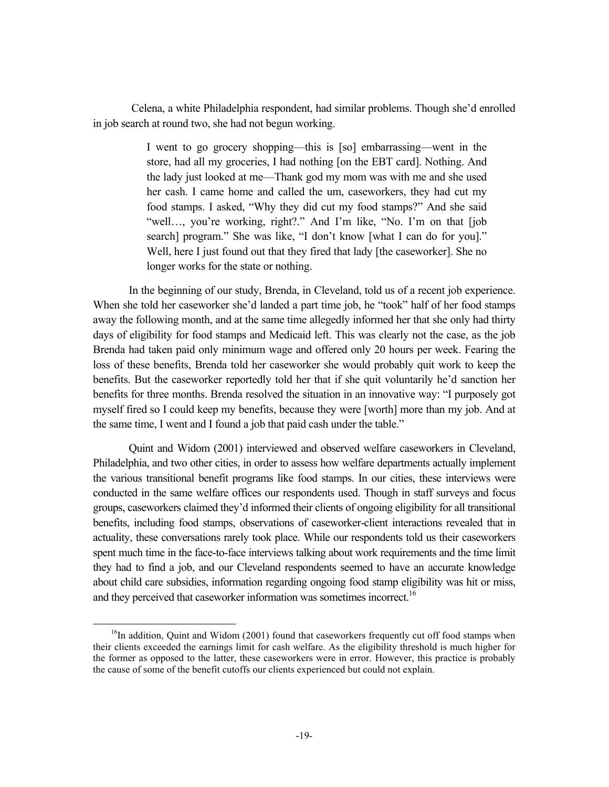Celena, a white Philadelphia respondent, had similar problems. Though she'd enrolled in job search at round two, she had not begun working.

> I went to go grocery shopping—this is [so] embarrassing—went in the store, had all my groceries, I had nothing [on the EBT card]. Nothing. And the lady just looked at me—Thank god my mom was with me and she used her cash. I came home and called the um, caseworkers, they had cut my food stamps. I asked, "Why they did cut my food stamps?" And she said "well..., you're working, right?." And I'm like, "No. I'm on that [job search] program." She was like, "I don't know [what I can do for you]." Well, here I just found out that they fired that lady [the caseworker]. She no longer works for the state or nothing.

In the beginning of our study, Brenda, in Cleveland, told us of a recent job experience. When she told her caseworker she'd landed a part time job, he "took" half of her food stamps away the following month, and at the same time allegedly informed her that she only had thirty days of eligibility for food stamps and Medicaid left. This was clearly not the case, as the job Brenda had taken paid only minimum wage and offered only 20 hours per week. Fearing the loss of these benefits, Brenda told her caseworker she would probably quit work to keep the benefits. But the caseworker reportedly told her that if she quit voluntarily he'd sanction her benefits for three months. Brenda resolved the situation in an innovative way: "I purposely got myself fired so I could keep my benefits, because they were [worth] more than my job. And at the same time, I went and I found a job that paid cash under the table."

Quint and Widom (2001) interviewed and observed welfare caseworkers in Cleveland, Philadelphia, and two other cities, in order to assess how welfare departments actually implement the various transitional benefit programs like food stamps. In our cities, these interviews were conducted in the same welfare offices our respondents used. Though in staff surveys and focus groups, caseworkers claimed they'd informed their clients of ongoing eligibility for all transitional benefits, including food stamps, observations of caseworker-client interactions revealed that in actuality, these conversations rarely took place. While our respondents told us their caseworkers spent much time in the face-to-face interviews talking about work requirements and the time limit they had to find a job, and our Cleveland respondents seemed to have an accurate knowledge about child care subsidies, information regarding ongoing food stamp eligibility was hit or miss, and they perceived that caseworker information was sometimes incorrect.<sup>16</sup>

 $<sup>16</sup>$ In addition, Quint and Widom (2001) found that caseworkers frequently cut off food stamps when</sup> their clients exceeded the earnings limit for cash welfare. As the eligibility threshold is much higher for the former as opposed to the latter, these caseworkers were in error. However, this practice is probably the cause of some of the benefit cutoffs our clients experienced but could not explain.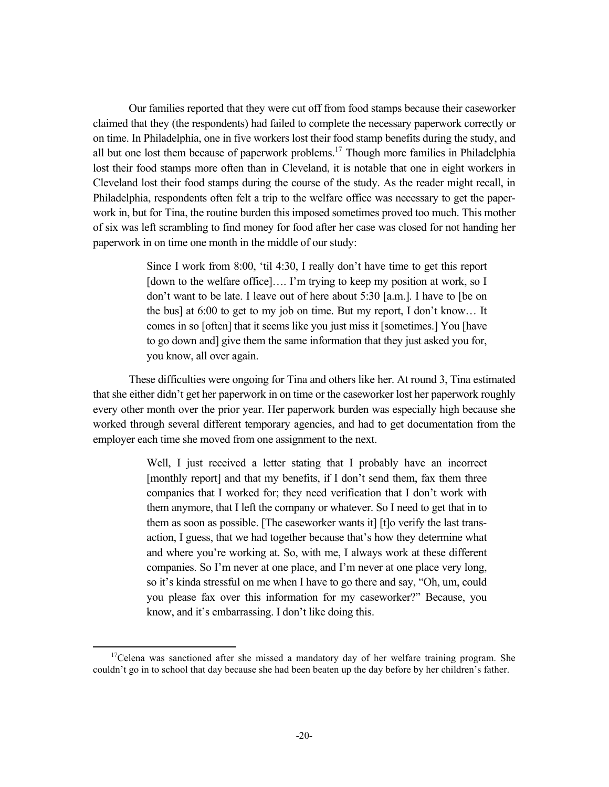Our families reported that they were cut off from food stamps because their caseworker claimed that they (the respondents) had failed to complete the necessary paperwork correctly or on time. In Philadelphia, one in five workers lost their food stamp benefits during the study, and all but one lost them because of paperwork problems.<sup>17</sup> Though more families in Philadelphia lost their food stamps more often than in Cleveland, it is notable that one in eight workers in Cleveland lost their food stamps during the course of the study. As the reader might recall, in Philadelphia, respondents often felt a trip to the welfare office was necessary to get the paperwork in, but for Tina, the routine burden this imposed sometimes proved too much. This mother of six was left scrambling to find money for food after her case was closed for not handing her paperwork in on time one month in the middle of our study:

> Since I work from 8:00, 'til 4:30, I really don't have time to get this report [down to the welfare office].... I'm trying to keep my position at work, so I don't want to be late. I leave out of here about 5:30 [a.m.]. I have to [be on the bus] at 6:00 to get to my job on time. But my report, I don't know… It comes in so [often] that it seems like you just miss it [sometimes.] You [have to go down and] give them the same information that they just asked you for, you know, all over again.

These difficulties were ongoing for Tina and others like her. At round 3, Tina estimated that she either didn't get her paperwork in on time or the caseworker lost her paperwork roughly every other month over the prior year. Her paperwork burden was especially high because she worked through several different temporary agencies, and had to get documentation from the employer each time she moved from one assignment to the next.

> Well, I just received a letter stating that I probably have an incorrect [monthly report] and that my benefits, if I don't send them, fax them three companies that I worked for; they need verification that I don't work with them anymore, that I left the company or whatever. So I need to get that in to them as soon as possible. [The caseworker wants it] [t]o verify the last transaction, I guess, that we had together because that's how they determine what and where you're working at. So, with me, I always work at these different companies. So I'm never at one place, and I'm never at one place very long, so it's kinda stressful on me when I have to go there and say, "Oh, um, could you please fax over this information for my caseworker?" Because, you know, and it's embarrassing. I don't like doing this.

 $17$ Celena was sanctioned after she missed a mandatory day of her welfare training program. She couldn't go in to school that day because she had been beaten up the day before by her children's father.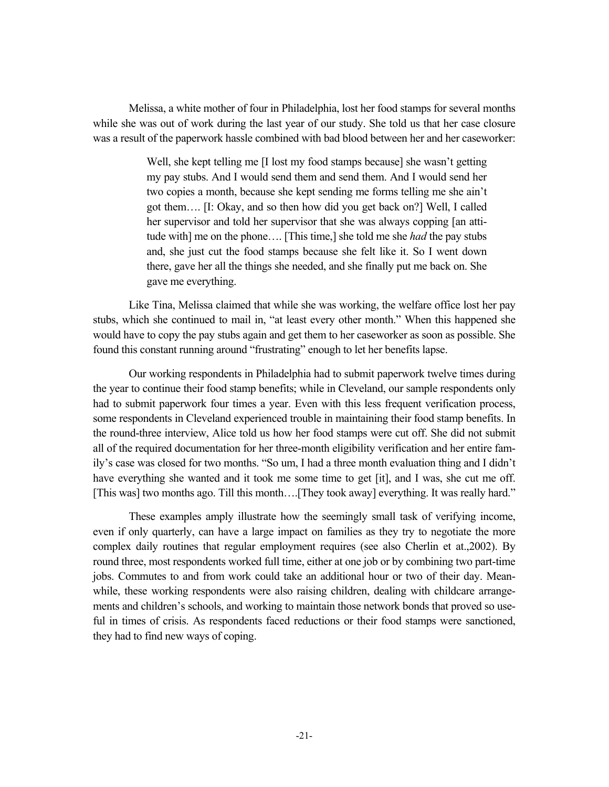Melissa, a white mother of four in Philadelphia, lost her food stamps for several months while she was out of work during the last year of our study. She told us that her case closure was a result of the paperwork hassle combined with bad blood between her and her caseworker:

> Well, she kept telling me [I lost my food stamps because] she wasn't getting my pay stubs. And I would send them and send them. And I would send her two copies a month, because she kept sending me forms telling me she ain't got them…. [I: Okay, and so then how did you get back on?] Well, I called her supervisor and told her supervisor that she was always copping [an attitude with] me on the phone…. [This time,] she told me she *had* the pay stubs and, she just cut the food stamps because she felt like it. So I went down there, gave her all the things she needed, and she finally put me back on. She gave me everything.

Like Tina, Melissa claimed that while she was working, the welfare office lost her pay stubs, which she continued to mail in, "at least every other month." When this happened she would have to copy the pay stubs again and get them to her caseworker as soon as possible. She found this constant running around "frustrating" enough to let her benefits lapse.

Our working respondents in Philadelphia had to submit paperwork twelve times during the year to continue their food stamp benefits; while in Cleveland, our sample respondents only had to submit paperwork four times a year. Even with this less frequent verification process, some respondents in Cleveland experienced trouble in maintaining their food stamp benefits. In the round-three interview, Alice told us how her food stamps were cut off. She did not submit all of the required documentation for her three-month eligibility verification and her entire family's case was closed for two months. "So um, I had a three month evaluation thing and I didn't have everything she wanted and it took me some time to get [it], and I was, she cut me off. [This was] two months ago. Till this month....[They took away] everything. It was really hard."

These examples amply illustrate how the seemingly small task of verifying income, even if only quarterly, can have a large impact on families as they try to negotiate the more complex daily routines that regular employment requires (see also Cherlin et at.,2002). By round three, most respondents worked full time, either at one job or by combining two part-time jobs. Commutes to and from work could take an additional hour or two of their day. Meanwhile, these working respondents were also raising children, dealing with childcare arrangements and children's schools, and working to maintain those network bonds that proved so useful in times of crisis. As respondents faced reductions or their food stamps were sanctioned, they had to find new ways of coping.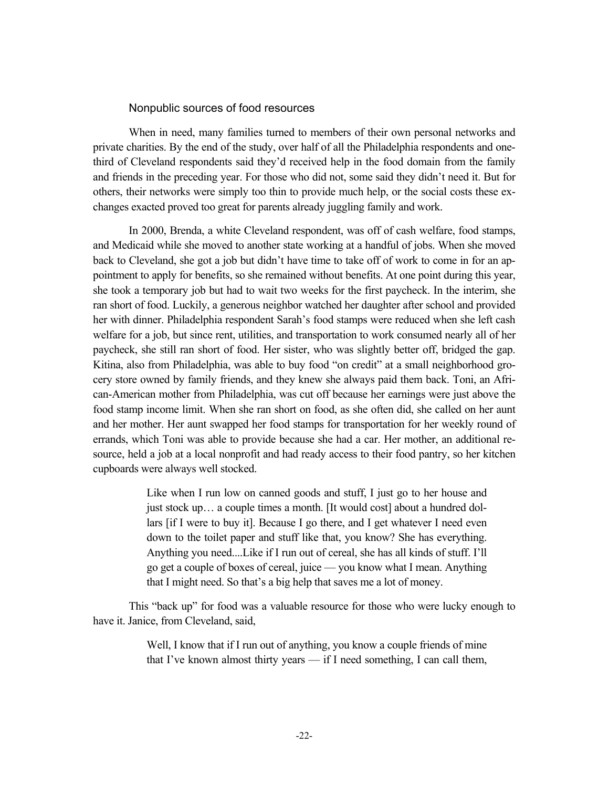### Nonpublic sources of food resources

When in need, many families turned to members of their own personal networks and private charities. By the end of the study, over half of all the Philadelphia respondents and onethird of Cleveland respondents said they'd received help in the food domain from the family and friends in the preceding year. For those who did not, some said they didn't need it. But for others, their networks were simply too thin to provide much help, or the social costs these exchanges exacted proved too great for parents already juggling family and work.

In 2000, Brenda, a white Cleveland respondent, was off of cash welfare, food stamps, and Medicaid while she moved to another state working at a handful of jobs. When she moved back to Cleveland, she got a job but didn't have time to take off of work to come in for an appointment to apply for benefits, so she remained without benefits. At one point during this year, she took a temporary job but had to wait two weeks for the first paycheck. In the interim, she ran short of food. Luckily, a generous neighbor watched her daughter after school and provided her with dinner. Philadelphia respondent Sarah's food stamps were reduced when she left cash welfare for a job, but since rent, utilities, and transportation to work consumed nearly all of her paycheck, she still ran short of food. Her sister, who was slightly better off, bridged the gap. Kitina, also from Philadelphia, was able to buy food "on credit" at a small neighborhood grocery store owned by family friends, and they knew she always paid them back. Toni, an African-American mother from Philadelphia, was cut off because her earnings were just above the food stamp income limit. When she ran short on food, as she often did, she called on her aunt and her mother. Her aunt swapped her food stamps for transportation for her weekly round of errands, which Toni was able to provide because she had a car. Her mother, an additional resource, held a job at a local nonprofit and had ready access to their food pantry, so her kitchen cupboards were always well stocked.

> Like when I run low on canned goods and stuff, I just go to her house and just stock up… a couple times a month. [It would cost] about a hundred dollars [if I were to buy it]. Because I go there, and I get whatever I need even down to the toilet paper and stuff like that, you know? She has everything. Anything you need....Like if I run out of cereal, she has all kinds of stuff. I'll go get a couple of boxes of cereal, juice — you know what I mean. Anything that I might need. So that's a big help that saves me a lot of money.

This "back up" for food was a valuable resource for those who were lucky enough to have it. Janice, from Cleveland, said,

> Well, I know that if I run out of anything, you know a couple friends of mine that I've known almost thirty years — if I need something, I can call them,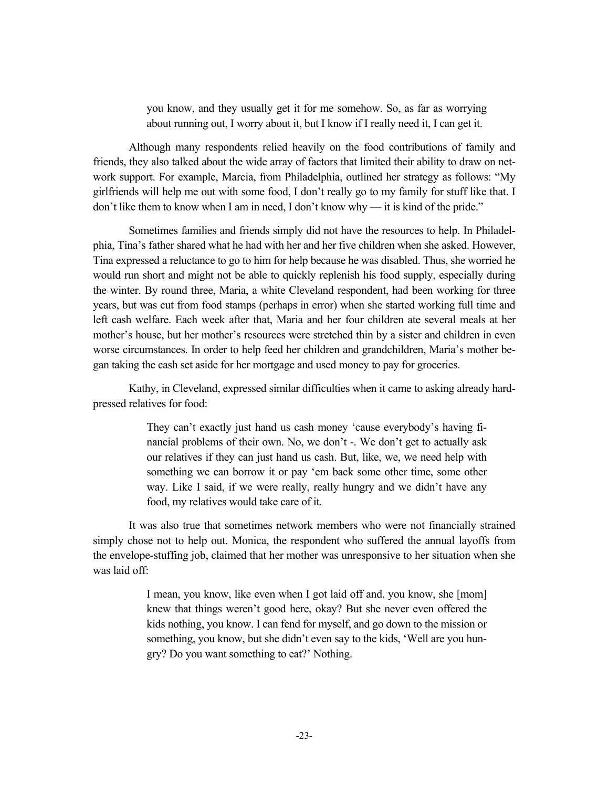you know, and they usually get it for me somehow. So, as far as worrying about running out, I worry about it, but I know if I really need it, I can get it.

Although many respondents relied heavily on the food contributions of family and friends, they also talked about the wide array of factors that limited their ability to draw on network support. For example, Marcia, from Philadelphia, outlined her strategy as follows: "My girlfriends will help me out with some food, I don't really go to my family for stuff like that. I don't like them to know when I am in need, I don't know why — it is kind of the pride."

Sometimes families and friends simply did not have the resources to help. In Philadelphia, Tina's father shared what he had with her and her five children when she asked. However, Tina expressed a reluctance to go to him for help because he was disabled. Thus, she worried he would run short and might not be able to quickly replenish his food supply, especially during the winter. By round three, Maria, a white Cleveland respondent, had been working for three years, but was cut from food stamps (perhaps in error) when she started working full time and left cash welfare. Each week after that, Maria and her four children ate several meals at her mother's house, but her mother's resources were stretched thin by a sister and children in even worse circumstances. In order to help feed her children and grandchildren, Maria's mother began taking the cash set aside for her mortgage and used money to pay for groceries.

Kathy, in Cleveland, expressed similar difficulties when it came to asking already hardpressed relatives for food:

> They can't exactly just hand us cash money 'cause everybody's having financial problems of their own. No, we don't -. We don't get to actually ask our relatives if they can just hand us cash. But, like, we, we need help with something we can borrow it or pay 'em back some other time, some other way. Like I said, if we were really, really hungry and we didn't have any food, my relatives would take care of it.

It was also true that sometimes network members who were not financially strained simply chose not to help out. Monica, the respondent who suffered the annual layoffs from the envelope-stuffing job, claimed that her mother was unresponsive to her situation when she was laid off:

> I mean, you know, like even when I got laid off and, you know, she [mom] knew that things weren't good here, okay? But she never even offered the kids nothing, you know. I can fend for myself, and go down to the mission or something, you know, but she didn't even say to the kids, 'Well are you hungry? Do you want something to eat?' Nothing.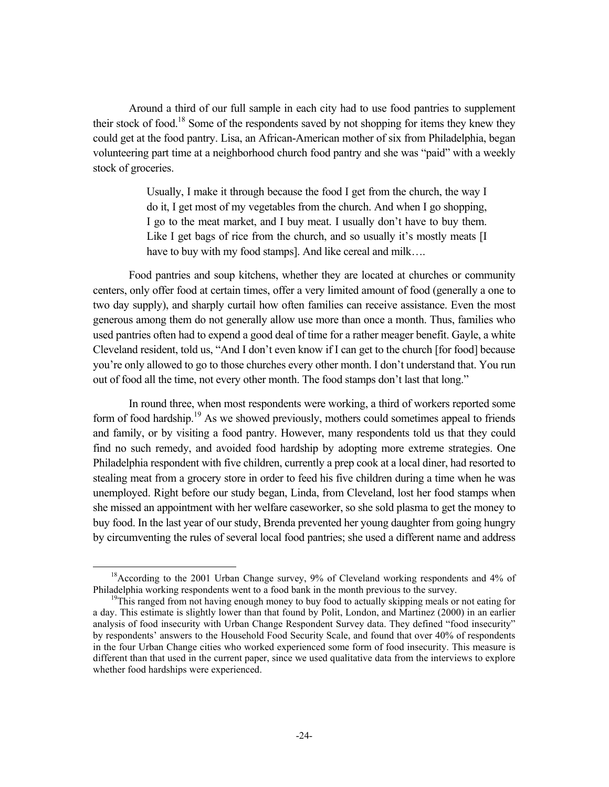Around a third of our full sample in each city had to use food pantries to supplement their stock of food.<sup>18</sup> Some of the respondents saved by not shopping for items they knew they could get at the food pantry. Lisa, an African-American mother of six from Philadelphia, began volunteering part time at a neighborhood church food pantry and she was "paid" with a weekly stock of groceries.

> Usually, I make it through because the food I get from the church, the way I do it, I get most of my vegetables from the church. And when I go shopping, I go to the meat market, and I buy meat. I usually don't have to buy them. Like I get bags of rice from the church, and so usually it's mostly meats [I] have to buy with my food stamps]. And like cereal and milk….

Food pantries and soup kitchens, whether they are located at churches or community centers, only offer food at certain times, offer a very limited amount of food (generally a one to two day supply), and sharply curtail how often families can receive assistance. Even the most generous among them do not generally allow use more than once a month. Thus, families who used pantries often had to expend a good deal of time for a rather meager benefit. Gayle, a white Cleveland resident, told us, "And I don't even know if I can get to the church [for food] because you're only allowed to go to those churches every other month. I don't understand that. You run out of food all the time, not every other month. The food stamps don't last that long."

In round three, when most respondents were working, a third of workers reported some form of food hardship.<sup>19</sup> As we showed previously, mothers could sometimes appeal to friends and family, or by visiting a food pantry. However, many respondents told us that they could find no such remedy, and avoided food hardship by adopting more extreme strategies. One Philadelphia respondent with five children, currently a prep cook at a local diner, had resorted to stealing meat from a grocery store in order to feed his five children during a time when he was unemployed. Right before our study began, Linda, from Cleveland, lost her food stamps when she missed an appointment with her welfare caseworker, so she sold plasma to get the money to buy food. In the last year of our study, Brenda prevented her young daughter from going hungry by circumventing the rules of several local food pantries; she used a different name and address

<sup>&</sup>lt;sup>18</sup> According to the 2001 Urban Change survey, 9% of Cleveland working respondents and 4% of Philadelphia working respondents went to a food bank in the month previous to the survey.<br><sup>19</sup>This ranged from not having enough money to buy food to actually skipping meals or not eating for

a day. This estimate is slightly lower than that found by Polit, London, and Martinez (2000) in an earlier analysis of food insecurity with Urban Change Respondent Survey data. They defined "food insecurity" by respondents' answers to the Household Food Security Scale, and found that over 40% of respondents in the four Urban Change cities who worked experienced some form of food insecurity. This measure is different than that used in the current paper, since we used qualitative data from the interviews to explore whether food hardships were experienced.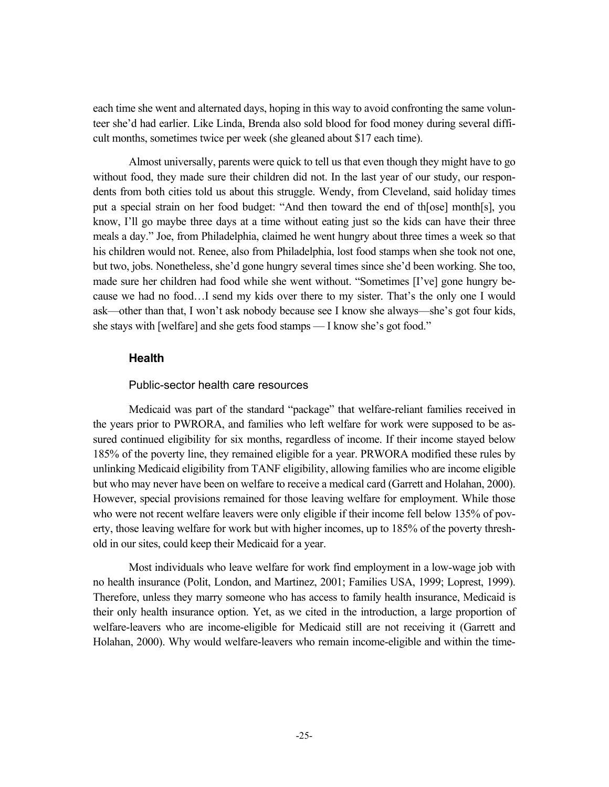each time she went and alternated days, hoping in this way to avoid confronting the same volunteer she'd had earlier. Like Linda, Brenda also sold blood for food money during several difficult months, sometimes twice per week (she gleaned about \$17 each time).

Almost universally, parents were quick to tell us that even though they might have to go without food, they made sure their children did not. In the last year of our study, our respondents from both cities told us about this struggle. Wendy, from Cleveland, said holiday times put a special strain on her food budget: "And then toward the end of th[ose] month[s], you know, I'll go maybe three days at a time without eating just so the kids can have their three meals a day." Joe, from Philadelphia, claimed he went hungry about three times a week so that his children would not. Renee, also from Philadelphia, lost food stamps when she took not one, but two, jobs. Nonetheless, she'd gone hungry several times since she'd been working. She too, made sure her children had food while she went without. "Sometimes [I've] gone hungry because we had no food…I send my kids over there to my sister. That's the only one I would ask—other than that, I won't ask nobody because see I know she always—she's got four kids, she stays with [welfare] and she gets food stamps — I know she's got food."

## **Health**

#### Public-sector health care resources

Medicaid was part of the standard "package" that welfare-reliant families received in the years prior to PWRORA, and families who left welfare for work were supposed to be assured continued eligibility for six months, regardless of income. If their income stayed below 185% of the poverty line, they remained eligible for a year. PRWORA modified these rules by unlinking Medicaid eligibility from TANF eligibility, allowing families who are income eligible but who may never have been on welfare to receive a medical card (Garrett and Holahan, 2000). However, special provisions remained for those leaving welfare for employment. While those who were not recent welfare leavers were only eligible if their income fell below 135% of poverty, those leaving welfare for work but with higher incomes, up to 185% of the poverty threshold in our sites, could keep their Medicaid for a year.

Most individuals who leave welfare for work find employment in a low-wage job with no health insurance (Polit, London, and Martinez, 2001; Families USA, 1999; Loprest, 1999). Therefore, unless they marry someone who has access to family health insurance, Medicaid is their only health insurance option. Yet, as we cited in the introduction, a large proportion of welfare-leavers who are income-eligible for Medicaid still are not receiving it (Garrett and Holahan, 2000). Why would welfare-leavers who remain income-eligible and within the time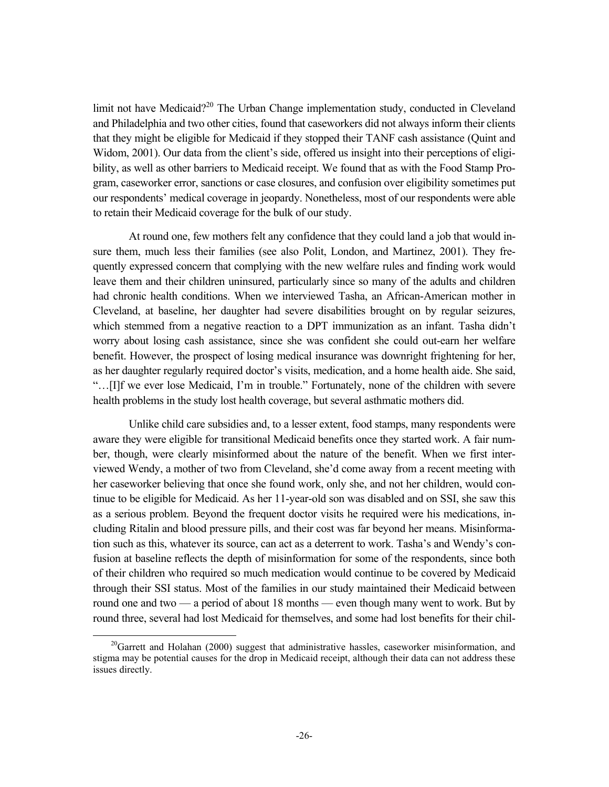limit not have Medicaid?<sup>20</sup> The Urban Change implementation study, conducted in Cleveland and Philadelphia and two other cities, found that caseworkers did not always inform their clients that they might be eligible for Medicaid if they stopped their TANF cash assistance (Quint and Widom, 2001). Our data from the client's side, offered us insight into their perceptions of eligibility, as well as other barriers to Medicaid receipt. We found that as with the Food Stamp Program, caseworker error, sanctions or case closures, and confusion over eligibility sometimes put our respondents' medical coverage in jeopardy. Nonetheless, most of our respondents were able to retain their Medicaid coverage for the bulk of our study.

At round one, few mothers felt any confidence that they could land a job that would insure them, much less their families (see also Polit, London, and Martinez, 2001). They frequently expressed concern that complying with the new welfare rules and finding work would leave them and their children uninsured, particularly since so many of the adults and children had chronic health conditions. When we interviewed Tasha, an African-American mother in Cleveland, at baseline, her daughter had severe disabilities brought on by regular seizures, which stemmed from a negative reaction to a DPT immunization as an infant. Tasha didn't worry about losing cash assistance, since she was confident she could out-earn her welfare benefit. However, the prospect of losing medical insurance was downright frightening for her, as her daughter regularly required doctor's visits, medication, and a home health aide. She said, "…[I]f we ever lose Medicaid, I'm in trouble." Fortunately, none of the children with severe health problems in the study lost health coverage, but several asthmatic mothers did.

Unlike child care subsidies and, to a lesser extent, food stamps, many respondents were aware they were eligible for transitional Medicaid benefits once they started work. A fair number, though, were clearly misinformed about the nature of the benefit. When we first interviewed Wendy, a mother of two from Cleveland, she'd come away from a recent meeting with her caseworker believing that once she found work, only she, and not her children, would continue to be eligible for Medicaid. As her 11-year-old son was disabled and on SSI, she saw this as a serious problem. Beyond the frequent doctor visits he required were his medications, including Ritalin and blood pressure pills, and their cost was far beyond her means. Misinformation such as this, whatever its source, can act as a deterrent to work. Tasha's and Wendy's confusion at baseline reflects the depth of misinformation for some of the respondents, since both of their children who required so much medication would continue to be covered by Medicaid through their SSI status. Most of the families in our study maintained their Medicaid between round one and two — a period of about 18 months — even though many went to work. But by round three, several had lost Medicaid for themselves, and some had lost benefits for their chil-

 $20G$ arrett and Holahan (2000) suggest that administrative hassles, caseworker misinformation, and stigma may be potential causes for the drop in Medicaid receipt, although their data can not address these issues directly.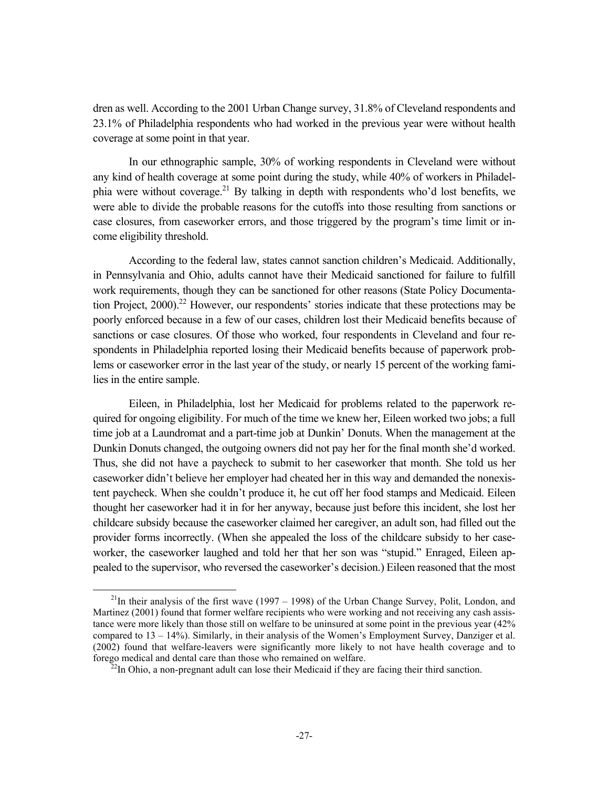dren as well. According to the 2001 Urban Change survey, 31.8% of Cleveland respondents and 23.1% of Philadelphia respondents who had worked in the previous year were without health coverage at some point in that year.

In our ethnographic sample, 30% of working respondents in Cleveland were without any kind of health coverage at some point during the study, while 40% of workers in Philadelphia were without coverage.<sup>21</sup> By talking in depth with respondents who'd lost benefits, we were able to divide the probable reasons for the cutoffs into those resulting from sanctions or case closures, from caseworker errors, and those triggered by the program's time limit or income eligibility threshold.

According to the federal law, states cannot sanction children's Medicaid. Additionally, in Pennsylvania and Ohio, adults cannot have their Medicaid sanctioned for failure to fulfill work requirements, though they can be sanctioned for other reasons (State Policy Documentation Project, 2000).<sup>22</sup> However, our respondents' stories indicate that these protections may be poorly enforced because in a few of our cases, children lost their Medicaid benefits because of sanctions or case closures. Of those who worked, four respondents in Cleveland and four respondents in Philadelphia reported losing their Medicaid benefits because of paperwork problems or caseworker error in the last year of the study, or nearly 15 percent of the working families in the entire sample.

Eileen, in Philadelphia, lost her Medicaid for problems related to the paperwork required for ongoing eligibility. For much of the time we knew her, Eileen worked two jobs; a full time job at a Laundromat and a part-time job at Dunkin' Donuts. When the management at the Dunkin Donuts changed, the outgoing owners did not pay her for the final month she'd worked. Thus, she did not have a paycheck to submit to her caseworker that month. She told us her caseworker didn't believe her employer had cheated her in this way and demanded the nonexistent paycheck. When she couldn't produce it, he cut off her food stamps and Medicaid. Eileen thought her caseworker had it in for her anyway, because just before this incident, she lost her childcare subsidy because the caseworker claimed her caregiver, an adult son, had filled out the provider forms incorrectly. (When she appealed the loss of the childcare subsidy to her caseworker, the caseworker laughed and told her that her son was "stupid." Enraged, Eileen appealed to the supervisor, who reversed the caseworker's decision.) Eileen reasoned that the most

 $^{21}$ In their analysis of the first wave (1997 – 1998) of the Urban Change Survey, Polit, London, and Martinez (2001) found that former welfare recipients who were working and not receiving any cash assistance were more likely than those still on welfare to be uninsured at some point in the previous year (42% compared to 13 – 14%). Similarly, in their analysis of the Women's Employment Survey, Danziger et al. (2002) found that welfare-leavers were significantly more likely to not have health coverage and to forego medical and dental care than those who remained on welfare. 22In Ohio, a non-pregnant adult can lose their Medicaid if they are facing their third sanction.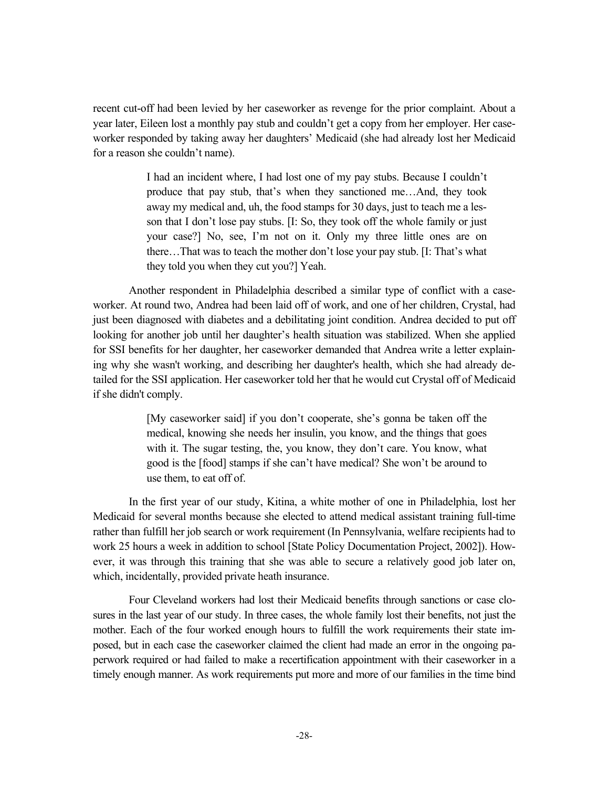recent cut-off had been levied by her caseworker as revenge for the prior complaint. About a year later, Eileen lost a monthly pay stub and couldn't get a copy from her employer. Her caseworker responded by taking away her daughters' Medicaid (she had already lost her Medicaid for a reason she couldn't name).

> I had an incident where, I had lost one of my pay stubs. Because I couldn't produce that pay stub, that's when they sanctioned me…And, they took away my medical and, uh, the food stamps for 30 days, just to teach me a lesson that I don't lose pay stubs. [I: So, they took off the whole family or just your case?] No, see, I'm not on it. Only my three little ones are on there…That was to teach the mother don't lose your pay stub. [I: That's what they told you when they cut you?] Yeah.

Another respondent in Philadelphia described a similar type of conflict with a caseworker. At round two, Andrea had been laid off of work, and one of her children, Crystal, had just been diagnosed with diabetes and a debilitating joint condition. Andrea decided to put off looking for another job until her daughter's health situation was stabilized. When she applied for SSI benefits for her daughter, her caseworker demanded that Andrea write a letter explaining why she wasn't working, and describing her daughter's health, which she had already detailed for the SSI application. Her caseworker told her that he would cut Crystal off of Medicaid if she didn't comply.

> [My caseworker said] if you don't cooperate, she's gonna be taken off the medical, knowing she needs her insulin, you know, and the things that goes with it. The sugar testing, the, you know, they don't care. You know, what good is the [food] stamps if she can't have medical? She won't be around to use them, to eat off of.

In the first year of our study, Kitina, a white mother of one in Philadelphia, lost her Medicaid for several months because she elected to attend medical assistant training full-time rather than fulfill her job search or work requirement (In Pennsylvania, welfare recipients had to work 25 hours a week in addition to school [State Policy Documentation Project, 2002]). However, it was through this training that she was able to secure a relatively good job later on, which, incidentally, provided private heath insurance.

Four Cleveland workers had lost their Medicaid benefits through sanctions or case closures in the last year of our study. In three cases, the whole family lost their benefits, not just the mother. Each of the four worked enough hours to fulfill the work requirements their state imposed, but in each case the caseworker claimed the client had made an error in the ongoing paperwork required or had failed to make a recertification appointment with their caseworker in a timely enough manner. As work requirements put more and more of our families in the time bind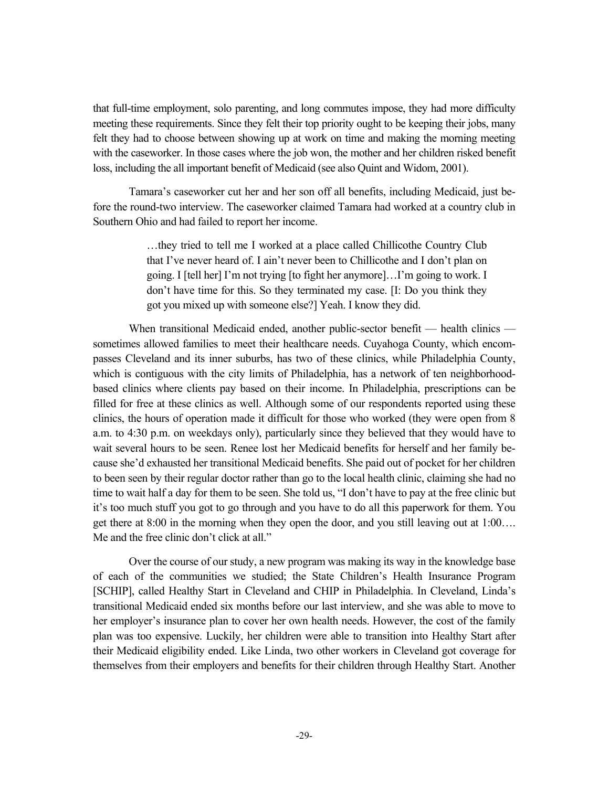that full-time employment, solo parenting, and long commutes impose, they had more difficulty meeting these requirements. Since they felt their top priority ought to be keeping their jobs, many felt they had to choose between showing up at work on time and making the morning meeting with the caseworker. In those cases where the job won, the mother and her children risked benefit loss, including the all important benefit of Medicaid (see also Quint and Widom, 2001).

Tamara's caseworker cut her and her son off all benefits, including Medicaid, just before the round-two interview. The caseworker claimed Tamara had worked at a country club in Southern Ohio and had failed to report her income.

> …they tried to tell me I worked at a place called Chillicothe Country Club that I've never heard of. I ain't never been to Chillicothe and I don't plan on going. I [tell her] I'm not trying [to fight her anymore]…I'm going to work. I don't have time for this. So they terminated my case. [I: Do you think they got you mixed up with someone else?] Yeah. I know they did.

When transitional Medicaid ended, another public-sector benefit — health clinics sometimes allowed families to meet their healthcare needs. Cuyahoga County, which encompasses Cleveland and its inner suburbs, has two of these clinics, while Philadelphia County, which is contiguous with the city limits of Philadelphia, has a network of ten neighborhoodbased clinics where clients pay based on their income. In Philadelphia, prescriptions can be filled for free at these clinics as well. Although some of our respondents reported using these clinics, the hours of operation made it difficult for those who worked (they were open from 8 a.m. to 4:30 p.m. on weekdays only), particularly since they believed that they would have to wait several hours to be seen. Renee lost her Medicaid benefits for herself and her family because she'd exhausted her transitional Medicaid benefits. She paid out of pocket for her children to been seen by their regular doctor rather than go to the local health clinic, claiming she had no time to wait half a day for them to be seen. She told us, "I don't have to pay at the free clinic but it's too much stuff you got to go through and you have to do all this paperwork for them. You get there at  $8:00$  in the morning when they open the door, and you still leaving out at  $1:00...$ Me and the free clinic don't click at all."

Over the course of our study, a new program was making its way in the knowledge base of each of the communities we studied; the State Children's Health Insurance Program [SCHIP], called Healthy Start in Cleveland and CHIP in Philadelphia. In Cleveland, Linda's transitional Medicaid ended six months before our last interview, and she was able to move to her employer's insurance plan to cover her own health needs. However, the cost of the family plan was too expensive. Luckily, her children were able to transition into Healthy Start after their Medicaid eligibility ended. Like Linda, two other workers in Cleveland got coverage for themselves from their employers and benefits for their children through Healthy Start. Another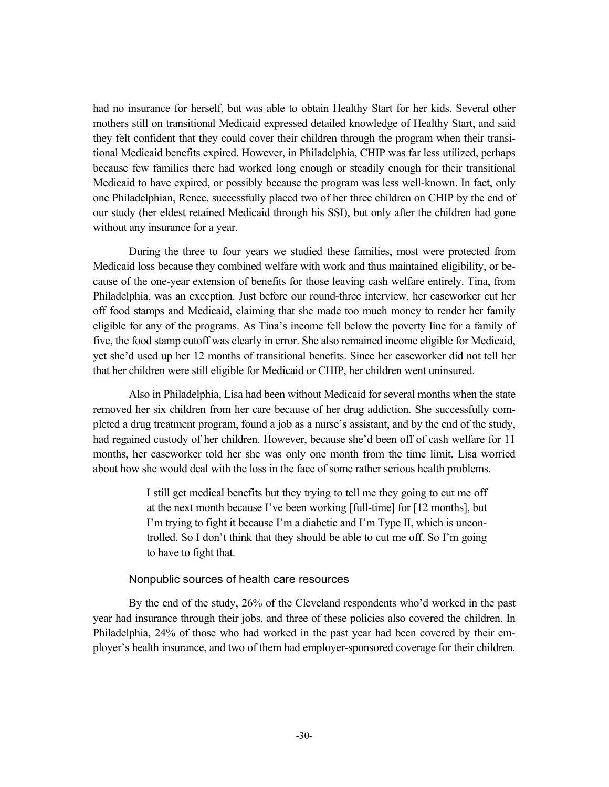had no insurance for herself, but was able to obtain Healthy Start for her kids. Several other mothers still on transitional Medicaid expressed detailed knowledge of Healthy Start, and said they felt confident that they could cover their children through the program when their transitional Medicaid benefits expired. However, in Philadelphia, CHIP was far less utilized, perhaps because few families there had worked long enough or steadily enough for their transitional Medicaid to have expired, or possibly because the program was less well-known. In fact, only one Philadelphian, Renee, successfully placed two of her three children on CHIP by the end of our study (her eldest retained Medicaid through his SSI), but only after the children had gone without any insurance for a year.

During the three to four years we studied these families, most were protected from Medicaid loss because they combined welfare with work and thus maintained eligibility, or because of the one-year extension of benefits for those leaving cash welfare entirely. Tina, from Philadelphia, was an exception. Just before our round-three interview, her caseworker cut her off food stamps and Medicaid, claiming that she made too much money to render her family eligible for any of the programs. As Tina's income fell below the poverty line for a family of five, the food stamp cutoff was clearly in error. She also remained income eligible for Medicaid, yet she'd used up her 12 months of transitional benefits. Since her caseworker did not tell her that her children were still eligible for Medicaid or CHIP, her children went uninsured.

Also in Philadelphia, Lisa had been without Medicaid for several months when the state removed her six children from her care because of her drug addiction. She successfully completed a drug treatment program, found a job as a nurse's assistant, and by the end of the study, had regained custody of her children. However, because she'd been off of cash welfare for 11 months, her caseworker told her she was only one month from the time limit. Lisa worried about how she would deal with the loss in the face of some rather serious health problems.

> I still get medical benefits but they trying to tell me they going to cut me off at the next month because I've been working [full-time] for [12 months], but I'm trying to fight it because I'm a diabetic and I'm Type II, which is uncontrolled. So I don't think that they should be able to cut me off. So I'm going to have to fight that.

### Nonpublic sources of health care resources

By the end of the study, 26% of the Cleveland respondents who'd worked in the past year had insurance through their jobs, and three of these policies also covered the children. In Philadelphia, 24% of those who had worked in the past year had been covered by their employer's health insurance, and two of them had employer-sponsored coverage for their children.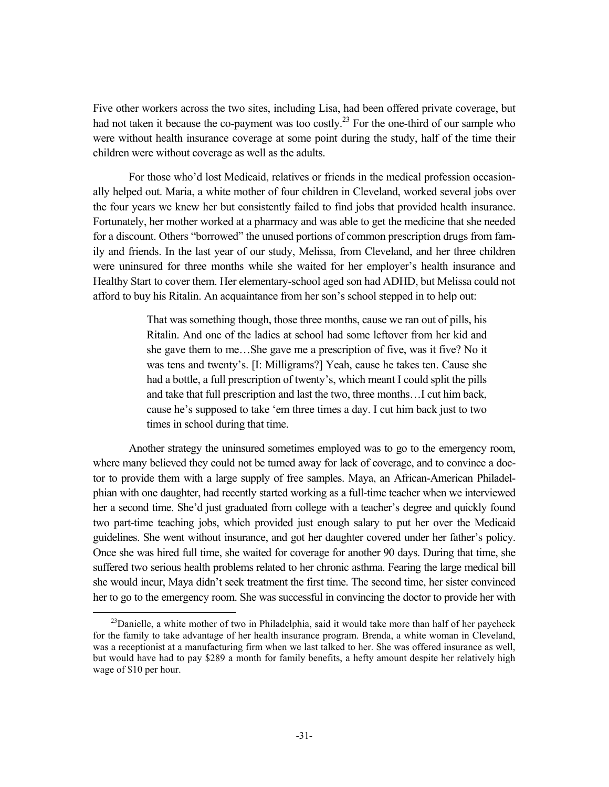Five other workers across the two sites, including Lisa, had been offered private coverage, but had not taken it because the co-payment was too costly.<sup>23</sup> For the one-third of our sample who were without health insurance coverage at some point during the study, half of the time their children were without coverage as well as the adults.

For those who'd lost Medicaid, relatives or friends in the medical profession occasionally helped out. Maria, a white mother of four children in Cleveland, worked several jobs over the four years we knew her but consistently failed to find jobs that provided health insurance. Fortunately, her mother worked at a pharmacy and was able to get the medicine that she needed for a discount. Others "borrowed" the unused portions of common prescription drugs from family and friends. In the last year of our study, Melissa, from Cleveland, and her three children were uninsured for three months while she waited for her employer's health insurance and Healthy Start to cover them. Her elementary-school aged son had ADHD, but Melissa could not afford to buy his Ritalin. An acquaintance from her son's school stepped in to help out:

> That was something though, those three months, cause we ran out of pills, his Ritalin. And one of the ladies at school had some leftover from her kid and she gave them to me…She gave me a prescription of five, was it five? No it was tens and twenty's. [I: Milligrams?] Yeah, cause he takes ten. Cause she had a bottle, a full prescription of twenty's, which meant I could split the pills and take that full prescription and last the two, three months…I cut him back, cause he's supposed to take 'em three times a day. I cut him back just to two times in school during that time.

Another strategy the uninsured sometimes employed was to go to the emergency room, where many believed they could not be turned away for lack of coverage, and to convince a doctor to provide them with a large supply of free samples. Maya, an African-American Philadelphian with one daughter, had recently started working as a full-time teacher when we interviewed her a second time. She'd just graduated from college with a teacher's degree and quickly found two part-time teaching jobs, which provided just enough salary to put her over the Medicaid guidelines. She went without insurance, and got her daughter covered under her father's policy. Once she was hired full time, she waited for coverage for another 90 days. During that time, she suffered two serious health problems related to her chronic asthma. Fearing the large medical bill she would incur, Maya didn't seek treatment the first time. The second time, her sister convinced her to go to the emergency room. She was successful in convincing the doctor to provide her with

 $2<sup>23</sup>$ Danielle, a white mother of two in Philadelphia, said it would take more than half of her paycheck for the family to take advantage of her health insurance program. Brenda, a white woman in Cleveland, was a receptionist at a manufacturing firm when we last talked to her. She was offered insurance as well, but would have had to pay \$289 a month for family benefits, a hefty amount despite her relatively high wage of \$10 per hour.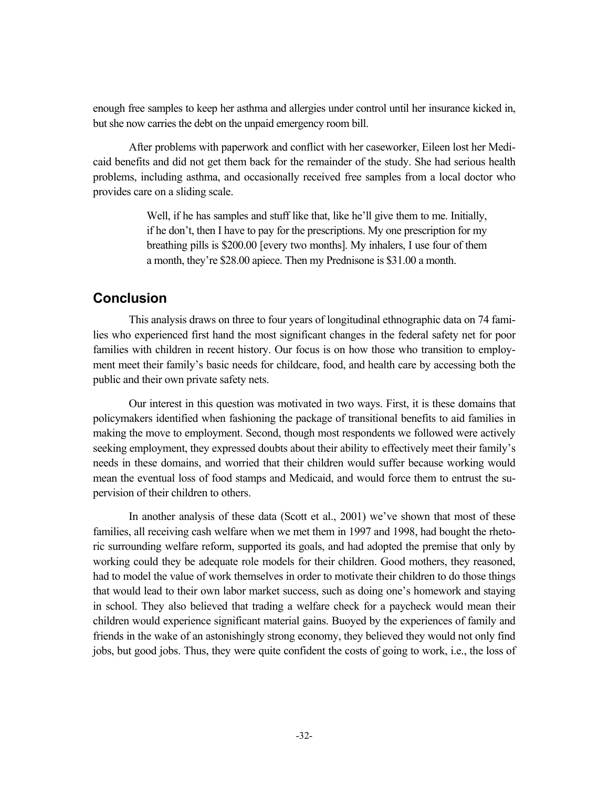enough free samples to keep her asthma and allergies under control until her insurance kicked in, but she now carries the debt on the unpaid emergency room bill.

After problems with paperwork and conflict with her caseworker, Eileen lost her Medicaid benefits and did not get them back for the remainder of the study. She had serious health problems, including asthma, and occasionally received free samples from a local doctor who provides care on a sliding scale.

> Well, if he has samples and stuff like that, like he'll give them to me. Initially, if he don't, then I have to pay for the prescriptions. My one prescription for my breathing pills is \$200.00 [every two months]. My inhalers, I use four of them a month, they're \$28.00 apiece. Then my Prednisone is \$31.00 a month.

# **Conclusion**

This analysis draws on three to four years of longitudinal ethnographic data on 74 families who experienced first hand the most significant changes in the federal safety net for poor families with children in recent history. Our focus is on how those who transition to employment meet their family's basic needs for childcare, food, and health care by accessing both the public and their own private safety nets.

Our interest in this question was motivated in two ways. First, it is these domains that policymakers identified when fashioning the package of transitional benefits to aid families in making the move to employment. Second, though most respondents we followed were actively seeking employment, they expressed doubts about their ability to effectively meet their family's needs in these domains, and worried that their children would suffer because working would mean the eventual loss of food stamps and Medicaid, and would force them to entrust the supervision of their children to others.

In another analysis of these data (Scott et al., 2001) we've shown that most of these families, all receiving cash welfare when we met them in 1997 and 1998, had bought the rhetoric surrounding welfare reform, supported its goals, and had adopted the premise that only by working could they be adequate role models for their children. Good mothers, they reasoned, had to model the value of work themselves in order to motivate their children to do those things that would lead to their own labor market success, such as doing one's homework and staying in school. They also believed that trading a welfare check for a paycheck would mean their children would experience significant material gains. Buoyed by the experiences of family and friends in the wake of an astonishingly strong economy, they believed they would not only find jobs, but good jobs. Thus, they were quite confident the costs of going to work, i.e., the loss of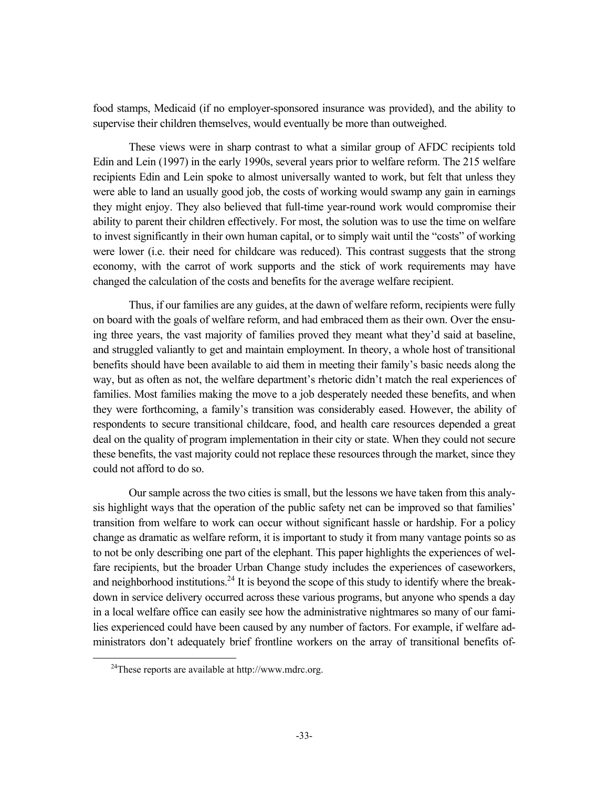food stamps, Medicaid (if no employer-sponsored insurance was provided), and the ability to supervise their children themselves, would eventually be more than outweighed.

These views were in sharp contrast to what a similar group of AFDC recipients told Edin and Lein (1997) in the early 1990s, several years prior to welfare reform. The 215 welfare recipients Edin and Lein spoke to almost universally wanted to work, but felt that unless they were able to land an usually good job, the costs of working would swamp any gain in earnings they might enjoy. They also believed that full-time year-round work would compromise their ability to parent their children effectively. For most, the solution was to use the time on welfare to invest significantly in their own human capital, or to simply wait until the "costs" of working were lower (i.e. their need for childcare was reduced). This contrast suggests that the strong economy, with the carrot of work supports and the stick of work requirements may have changed the calculation of the costs and benefits for the average welfare recipient.

Thus, if our families are any guides, at the dawn of welfare reform, recipients were fully on board with the goals of welfare reform, and had embraced them as their own. Over the ensuing three years, the vast majority of families proved they meant what they'd said at baseline, and struggled valiantly to get and maintain employment. In theory, a whole host of transitional benefits should have been available to aid them in meeting their family's basic needs along the way, but as often as not, the welfare department's rhetoric didn't match the real experiences of families. Most families making the move to a job desperately needed these benefits, and when they were forthcoming, a family's transition was considerably eased. However, the ability of respondents to secure transitional childcare, food, and health care resources depended a great deal on the quality of program implementation in their city or state. When they could not secure these benefits, the vast majority could not replace these resources through the market, since they could not afford to do so.

Our sample across the two cities is small, but the lessons we have taken from this analysis highlight ways that the operation of the public safety net can be improved so that families' transition from welfare to work can occur without significant hassle or hardship. For a policy change as dramatic as welfare reform, it is important to study it from many vantage points so as to not be only describing one part of the elephant. This paper highlights the experiences of welfare recipients, but the broader Urban Change study includes the experiences of caseworkers, and neighborhood institutions.<sup>24</sup> It is beyond the scope of this study to identify where the breakdown in service delivery occurred across these various programs, but anyone who spends a day in a local welfare office can easily see how the administrative nightmares so many of our families experienced could have been caused by any number of factors. For example, if welfare administrators don't adequately brief frontline workers on the array of transitional benefits of-

 <sup>24</sup>These reports are available at http://www.mdrc.org.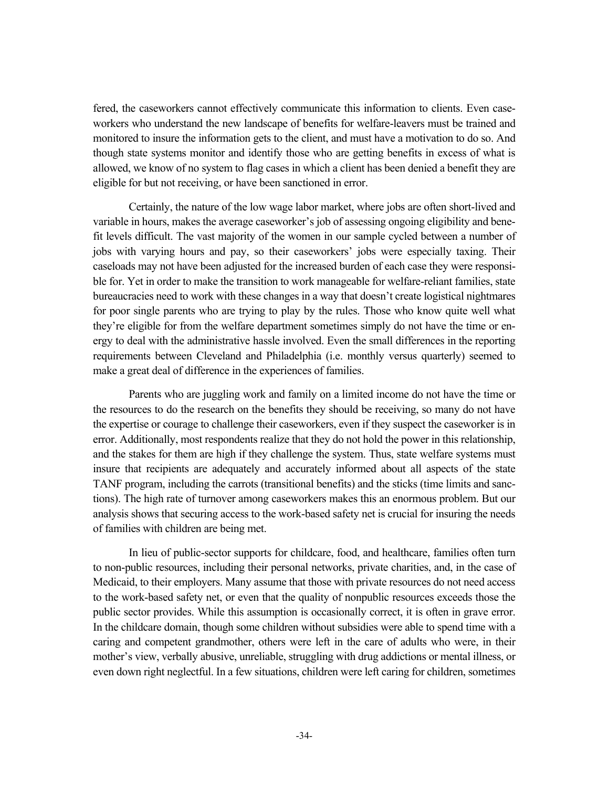fered, the caseworkers cannot effectively communicate this information to clients. Even caseworkers who understand the new landscape of benefits for welfare-leavers must be trained and monitored to insure the information gets to the client, and must have a motivation to do so. And though state systems monitor and identify those who are getting benefits in excess of what is allowed, we know of no system to flag cases in which a client has been denied a benefit they are eligible for but not receiving, or have been sanctioned in error.

Certainly, the nature of the low wage labor market, where jobs are often short-lived and variable in hours, makes the average caseworker's job of assessing ongoing eligibility and benefit levels difficult. The vast majority of the women in our sample cycled between a number of jobs with varying hours and pay, so their caseworkers' jobs were especially taxing. Their caseloads may not have been adjusted for the increased burden of each case they were responsible for. Yet in order to make the transition to work manageable for welfare-reliant families, state bureaucracies need to work with these changes in a way that doesn't create logistical nightmares for poor single parents who are trying to play by the rules. Those who know quite well what they're eligible for from the welfare department sometimes simply do not have the time or energy to deal with the administrative hassle involved. Even the small differences in the reporting requirements between Cleveland and Philadelphia (i.e. monthly versus quarterly) seemed to make a great deal of difference in the experiences of families.

Parents who are juggling work and family on a limited income do not have the time or the resources to do the research on the benefits they should be receiving, so many do not have the expertise or courage to challenge their caseworkers, even if they suspect the caseworker is in error. Additionally, most respondents realize that they do not hold the power in this relationship, and the stakes for them are high if they challenge the system. Thus, state welfare systems must insure that recipients are adequately and accurately informed about all aspects of the state TANF program, including the carrots (transitional benefits) and the sticks (time limits and sanctions). The high rate of turnover among caseworkers makes this an enormous problem. But our analysis shows that securing access to the work-based safety net is crucial for insuring the needs of families with children are being met.

In lieu of public-sector supports for childcare, food, and healthcare, families often turn to non-public resources, including their personal networks, private charities, and, in the case of Medicaid, to their employers. Many assume that those with private resources do not need access to the work-based safety net, or even that the quality of nonpublic resources exceeds those the public sector provides. While this assumption is occasionally correct, it is often in grave error. In the childcare domain, though some children without subsidies were able to spend time with a caring and competent grandmother, others were left in the care of adults who were, in their mother's view, verbally abusive, unreliable, struggling with drug addictions or mental illness, or even down right neglectful. In a few situations, children were left caring for children, sometimes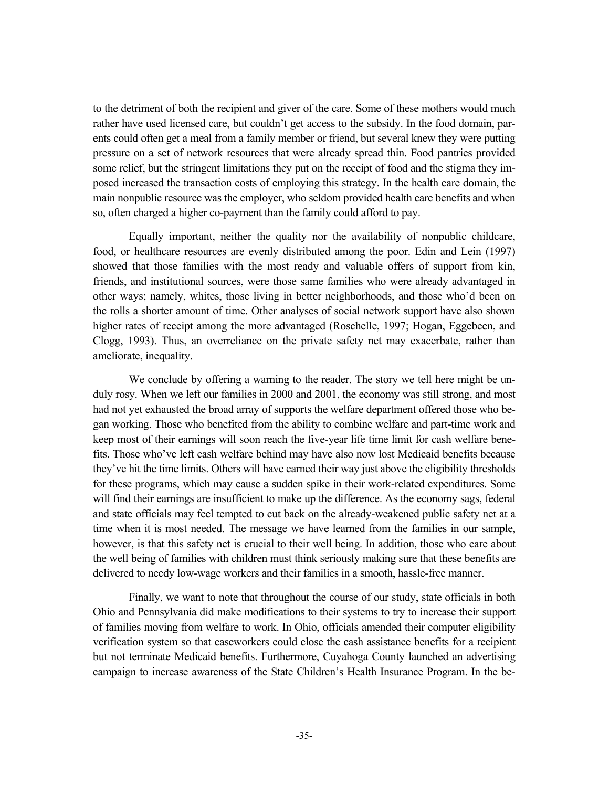to the detriment of both the recipient and giver of the care. Some of these mothers would much rather have used licensed care, but couldn't get access to the subsidy. In the food domain, parents could often get a meal from a family member or friend, but several knew they were putting pressure on a set of network resources that were already spread thin. Food pantries provided some relief, but the stringent limitations they put on the receipt of food and the stigma they imposed increased the transaction costs of employing this strategy. In the health care domain, the main nonpublic resource was the employer, who seldom provided health care benefits and when so, often charged a higher co-payment than the family could afford to pay.

Equally important, neither the quality nor the availability of nonpublic childcare, food, or healthcare resources are evenly distributed among the poor. Edin and Lein (1997) showed that those families with the most ready and valuable offers of support from kin, friends, and institutional sources, were those same families who were already advantaged in other ways; namely, whites, those living in better neighborhoods, and those who'd been on the rolls a shorter amount of time. Other analyses of social network support have also shown higher rates of receipt among the more advantaged (Roschelle, 1997; Hogan, Eggebeen, and Clogg, 1993). Thus, an overreliance on the private safety net may exacerbate, rather than ameliorate, inequality.

We conclude by offering a warning to the reader. The story we tell here might be unduly rosy. When we left our families in 2000 and 2001, the economy was still strong, and most had not yet exhausted the broad array of supports the welfare department offered those who began working. Those who benefited from the ability to combine welfare and part-time work and keep most of their earnings will soon reach the five-year life time limit for cash welfare benefits. Those who've left cash welfare behind may have also now lost Medicaid benefits because they've hit the time limits. Others will have earned their way just above the eligibility thresholds for these programs, which may cause a sudden spike in their work-related expenditures. Some will find their earnings are insufficient to make up the difference. As the economy sags, federal and state officials may feel tempted to cut back on the already-weakened public safety net at a time when it is most needed. The message we have learned from the families in our sample, however, is that this safety net is crucial to their well being. In addition, those who care about the well being of families with children must think seriously making sure that these benefits are delivered to needy low-wage workers and their families in a smooth, hassle-free manner.

Finally, we want to note that throughout the course of our study, state officials in both Ohio and Pennsylvania did make modifications to their systems to try to increase their support of families moving from welfare to work. In Ohio, officials amended their computer eligibility verification system so that caseworkers could close the cash assistance benefits for a recipient but not terminate Medicaid benefits. Furthermore, Cuyahoga County launched an advertising campaign to increase awareness of the State Children's Health Insurance Program. In the be-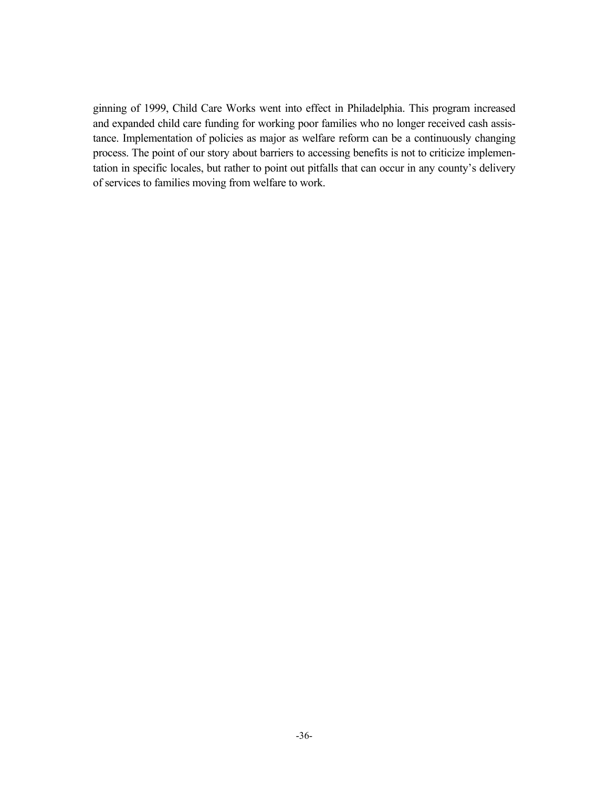ginning of 1999, Child Care Works went into effect in Philadelphia. This program increased and expanded child care funding for working poor families who no longer received cash assistance. Implementation of policies as major as welfare reform can be a continuously changing process. The point of our story about barriers to accessing benefits is not to criticize implementation in specific locales, but rather to point out pitfalls that can occur in any county's delivery of services to families moving from welfare to work.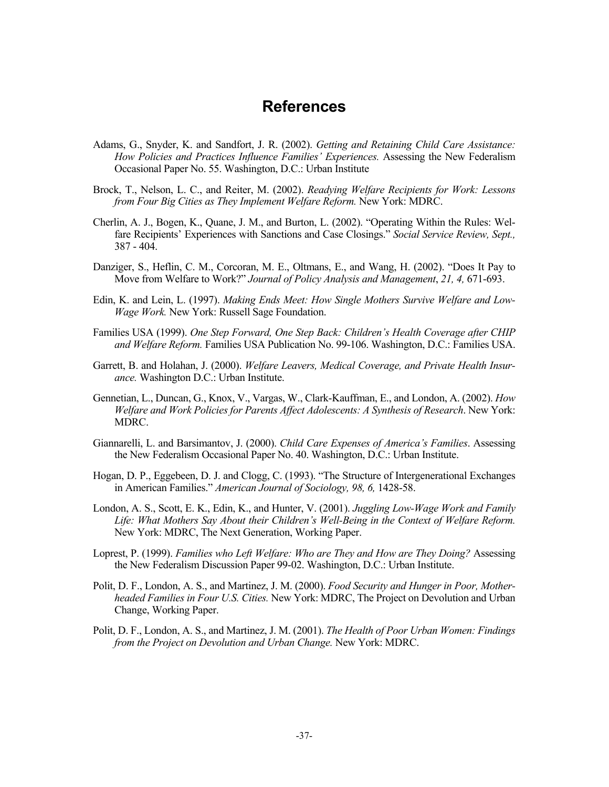# **References**

- Adams, G., Snyder, K. and Sandfort, J. R. (2002). *Getting and Retaining Child Care Assistance: How Policies and Practices Influence Families' Experiences.* Assessing the New Federalism Occasional Paper No. 55. Washington, D.C.: Urban Institute
- Brock, T., Nelson, L. C., and Reiter, M. (2002). *Readying Welfare Recipients for Work: Lessons from Four Big Cities as They Implement Welfare Reform.* New York: MDRC.
- Cherlin, A. J., Bogen, K., Quane, J. M., and Burton, L. (2002). "Operating Within the Rules: Welfare Recipients' Experiences with Sanctions and Case Closings." *Social Service Review, Sept.,* 387 - 404.
- Danziger, S., Heflin, C. M., Corcoran, M. E., Oltmans, E., and Wang, H. (2002). "Does It Pay to Move from Welfare to Work?" *Journal of Policy Analysis and Management*, *21, 4,* 671-693.
- Edin, K. and Lein, L. (1997). *Making Ends Meet: How Single Mothers Survive Welfare and Low-Wage Work.* New York: Russell Sage Foundation.
- Families USA (1999). *One Step Forward, One Step Back: Children's Health Coverage after CHIP and Welfare Reform.* Families USA Publication No. 99-106. Washington, D.C.: Families USA.
- Garrett, B. and Holahan, J. (2000). *Welfare Leavers, Medical Coverage, and Private Health Insurance.* Washington D.C.: Urban Institute.
- Gennetian, L., Duncan, G., Knox, V., Vargas, W., Clark-Kauffman, E., and London, A. (2002). *How Welfare and Work Policies for Parents Affect Adolescents: A Synthesis of Research*. New York: MDRC.
- Giannarelli, L. and Barsimantov, J. (2000). *Child Care Expenses of America's Families*. Assessing the New Federalism Occasional Paper No. 40. Washington, D.C.: Urban Institute.
- Hogan, D. P., Eggebeen, D. J. and Clogg, C. (1993). "The Structure of Intergenerational Exchanges in American Families." *American Journal of Sociology, 98, 6,* 1428-58.
- London, A. S., Scott, E. K., Edin, K., and Hunter, V. (2001). *Juggling Low-Wage Work and Family Life: What Mothers Say About their Children's Well-Being in the Context of Welfare Reform.* New York: MDRC, The Next Generation, Working Paper.
- Loprest, P. (1999). *Families who Left Welfare: Who are They and How are They Doing?* Assessing the New Federalism Discussion Paper 99-02. Washington, D.C.: Urban Institute.
- Polit, D. F., London, A. S., and Martinez, J. M. (2000). *Food Security and Hunger in Poor, Motherheaded Families in Four U.S. Cities.* New York: MDRC, The Project on Devolution and Urban Change, Working Paper.
- Polit, D. F., London, A. S., and Martinez, J. M. (2001). *The Health of Poor Urban Women: Findings from the Project on Devolution and Urban Change.* New York: MDRC.